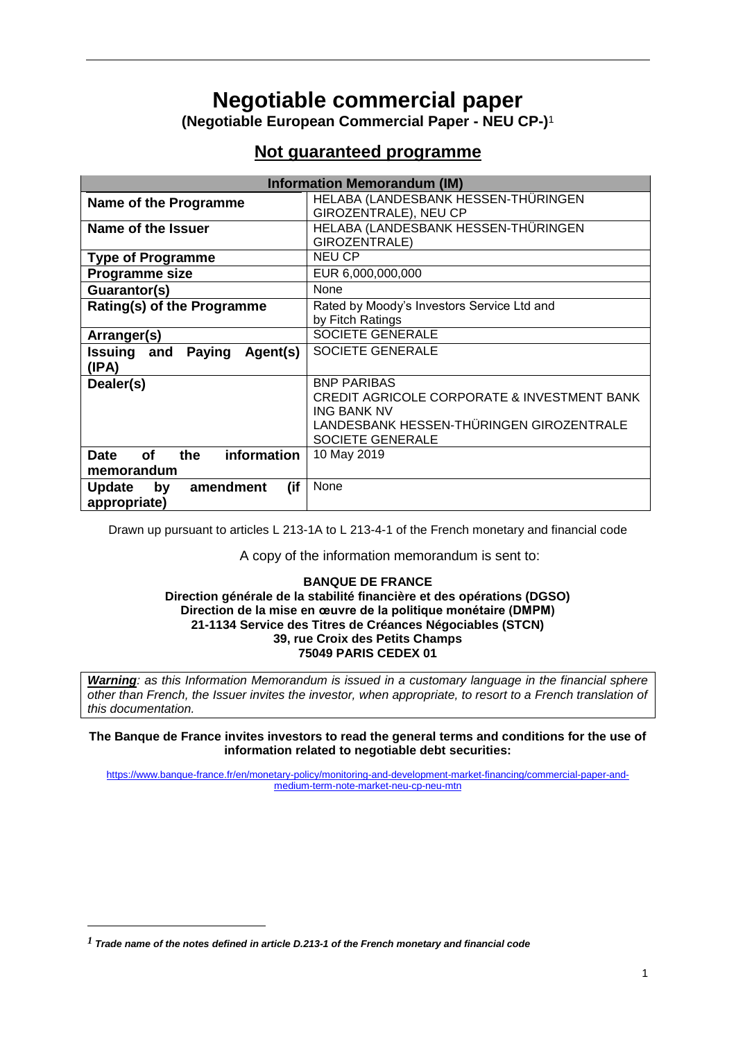# **Negotiable commercial paper**

**(Negotiable European Commercial Paper - NEU CP-)** 1

# **Not guaranteed programme**

| <b>Information Memorandum (IM)</b>             |                                                        |  |
|------------------------------------------------|--------------------------------------------------------|--|
| Name of the Programme                          | HELABA (LANDESBANK HESSEN-THÜRINGEN                    |  |
|                                                | GIROZENTRALE), NEU CP                                  |  |
| Name of the Issuer                             | HELABA (LANDESBANK HESSEN-THÜRINGEN                    |  |
|                                                | GIROZENTRALE)                                          |  |
| <b>Type of Programme</b>                       | <b>NEU CP</b>                                          |  |
| Programme size                                 | EUR 6,000,000,000                                      |  |
| Guarantor(s)                                   | None                                                   |  |
| Rating(s) of the Programme                     | Rated by Moody's Investors Service Ltd and             |  |
|                                                | by Fitch Ratings                                       |  |
| Arranger(s)                                    | SOCIETE GENERALE                                       |  |
| Issuing and<br>Agent(s)<br><b>Paying</b>       | SOCIETE GENERALE                                       |  |
| (IPA)                                          |                                                        |  |
| Dealer(s)                                      | <b>BNP PARIBAS</b>                                     |  |
|                                                | <b>CREDIT AGRICOLE CORPORATE &amp; INVESTMENT BANK</b> |  |
|                                                | <b>ING BANK NV</b>                                     |  |
|                                                | LANDESBANK HESSEN-THÜRINGEN GIROZENTRALE               |  |
|                                                | <b>SOCIETE GENERALE</b>                                |  |
| information<br><b>of</b><br><b>Date</b><br>the | 10 May 2019                                            |  |
| memorandum                                     |                                                        |  |
| amendment<br>(if<br><b>Update</b><br>by        | None                                                   |  |
| appropriate)                                   |                                                        |  |

Drawn up pursuant to articles L 213-1A to L 213-4-1 of the French monetary and financial code

A copy of the information memorandum is sent to:

#### **BANQUE DE FRANCE Direction générale de la stabilité financière et des opérations (DGSO) Direction de la mise en œuvre de la politique monétaire (DMPM) 21-1134 Service des Titres de Créances Négociables (STCN) 39, rue Croix des Petits Champs 75049 PARIS CEDEX 01**

*Warning: as this Information Memorandum is issued in a customary language in the financial sphere other than French, the Issuer invites the investor, when appropriate, to resort to a French translation of this documentation.* 

**The Banque de France invites investors to read the general terms and conditions for the use of information related to negotiable debt securities:**

[https://www.banque-france.fr/en/monetary-policy/monitoring-and-development-market-financing/commercial-paper-and](https://www.banque-france.fr/en/monetary-policy/monitoring-and-development-market-financing/commercial-paper-and-medium-term-note-market-neu-cp-neu-mtn)[medium-term-note-market-neu-cp-neu-mtn](https://www.banque-france.fr/en/monetary-policy/monitoring-and-development-market-financing/commercial-paper-and-medium-term-note-market-neu-cp-neu-mtn)

1

*<sup>1</sup> Trade name of the notes defined in article D.213-1 of the French monetary and financial code*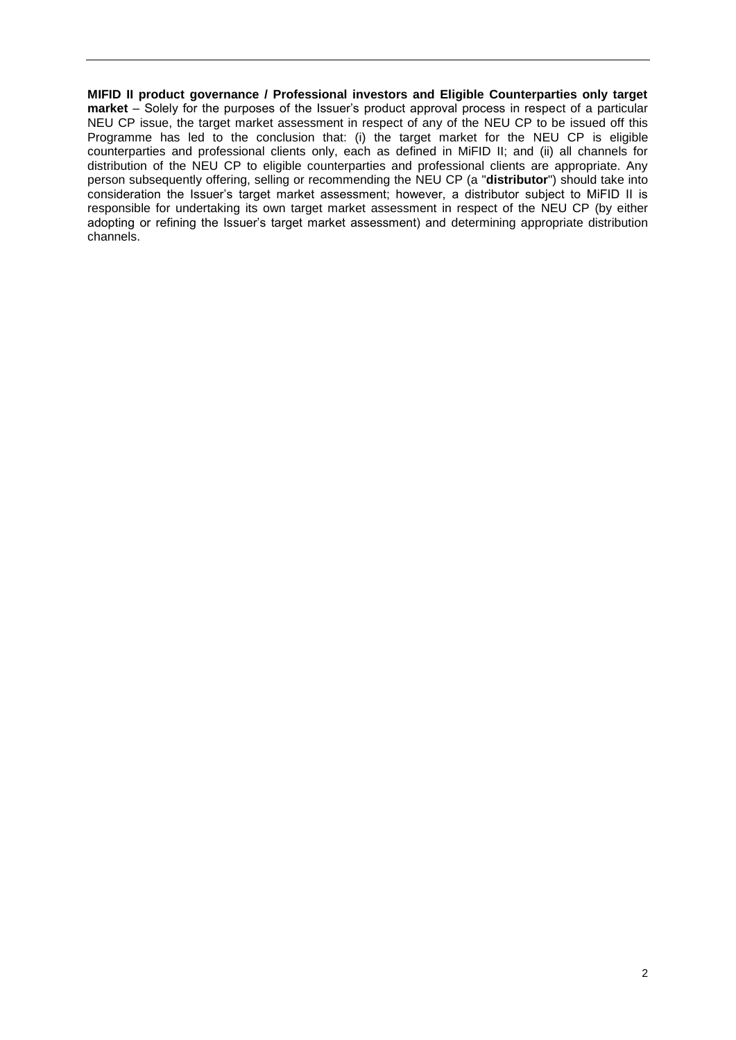**MIFID II product governance / Professional investors and Eligible Counterparties only target market** – Solely for the purposes of the Issuer's product approval process in respect of a particular NEU CP issue, the target market assessment in respect of any of the NEU CP to be issued off this Programme has led to the conclusion that: (i) the target market for the NEU CP is eligible counterparties and professional clients only, each as defined in MiFID II; and (ii) all channels for distribution of the NEU CP to eligible counterparties and professional clients are appropriate. Any person subsequently offering, selling or recommending the NEU CP (a "**distributor**") should take into consideration the Issuer's target market assessment; however, a distributor subject to MiFID II is responsible for undertaking its own target market assessment in respect of the NEU CP (by either adopting or refining the Issuer's target market assessment) and determining appropriate distribution channels.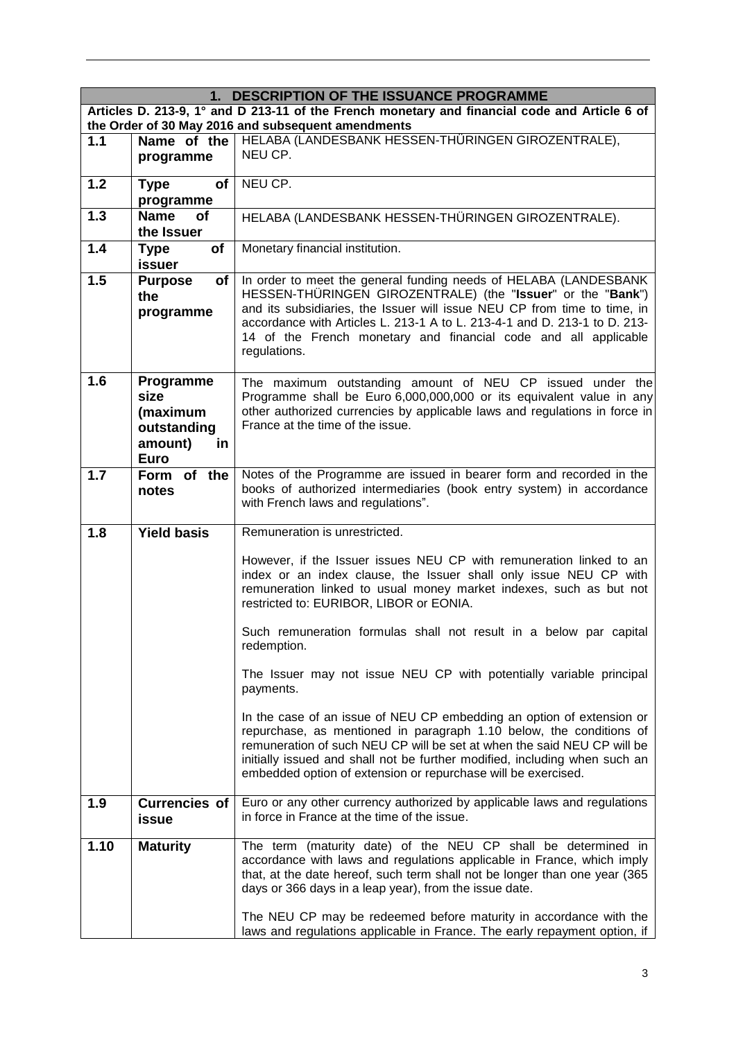|       | 1. DESCRIPTION OF THE ISSUANCE PROGRAMME                                                                                                            |                                                                                                                                                                                                                                                                                                                                                                             |  |
|-------|-----------------------------------------------------------------------------------------------------------------------------------------------------|-----------------------------------------------------------------------------------------------------------------------------------------------------------------------------------------------------------------------------------------------------------------------------------------------------------------------------------------------------------------------------|--|
|       | Articles D. 213-9, 1° and D 213-11 of the French monetary and financial code and Article 6 of<br>the Order of 30 May 2016 and subsequent amendments |                                                                                                                                                                                                                                                                                                                                                                             |  |
| 1.1   | Name of the<br>programme                                                                                                                            | HELABA (LANDESBANK HESSEN-THÜRINGEN GIROZENTRALE),<br>NEU CP.                                                                                                                                                                                                                                                                                                               |  |
| $1.2$ | <b>of</b><br><b>Type</b><br>programme                                                                                                               | NEU CP.                                                                                                                                                                                                                                                                                                                                                                     |  |
| 1.3   | <b>Name</b><br>of<br>the Issuer                                                                                                                     | HELABA (LANDESBANK HESSEN-THÜRINGEN GIROZENTRALE).                                                                                                                                                                                                                                                                                                                          |  |
| 1.4   | <b>of</b><br><b>Type</b><br>issuer                                                                                                                  | Monetary financial institution.                                                                                                                                                                                                                                                                                                                                             |  |
| 1.5   | of<br><b>Purpose</b><br>the<br>programme                                                                                                            | In order to meet the general funding needs of HELABA (LANDESBANK<br>HESSEN-THÜRINGEN GIROZENTRALE) (the "Issuer" or the "Bank")<br>and its subsidiaries, the Issuer will issue NEU CP from time to time, in<br>accordance with Articles L. 213-1 A to L. 213-4-1 and D. 213-1 to D. 213-<br>14 of the French monetary and financial code and all applicable<br>regulations. |  |
| 1.6   | Programme<br>size<br>(maximum<br>outstanding<br>amount)<br>in<br><b>Euro</b>                                                                        | The maximum outstanding amount of NEU CP issued under the<br>Programme shall be Euro 6,000,000,000 or its equivalent value in any<br>other authorized currencies by applicable laws and regulations in force in<br>France at the time of the issue.                                                                                                                         |  |
| 1.7   | Form of the<br>notes                                                                                                                                | Notes of the Programme are issued in bearer form and recorded in the<br>books of authorized intermediaries (book entry system) in accordance<br>with French laws and regulations".                                                                                                                                                                                          |  |
| 1.8   | <b>Yield basis</b>                                                                                                                                  | Remuneration is unrestricted.                                                                                                                                                                                                                                                                                                                                               |  |
|       |                                                                                                                                                     | However, if the Issuer issues NEU CP with remuneration linked to an<br>index or an index clause, the Issuer shall only issue NEU CP with<br>remuneration linked to usual money market indexes, such as but not<br>restricted to: EURIBOR, LIBOR or EONIA.                                                                                                                   |  |
|       |                                                                                                                                                     | Such remuneration formulas shall not result in a below par capital<br>redemption.                                                                                                                                                                                                                                                                                           |  |
|       |                                                                                                                                                     | The Issuer may not issue NEU CP with potentially variable principal<br>payments.                                                                                                                                                                                                                                                                                            |  |
|       |                                                                                                                                                     | In the case of an issue of NEU CP embedding an option of extension or<br>repurchase, as mentioned in paragraph 1.10 below, the conditions of<br>remuneration of such NEU CP will be set at when the said NEU CP will be<br>initially issued and shall not be further modified, including when such an<br>embedded option of extension or repurchase will be exercised.      |  |
| 1.9   | <b>Currencies of</b><br>issue                                                                                                                       | Euro or any other currency authorized by applicable laws and regulations<br>in force in France at the time of the issue.                                                                                                                                                                                                                                                    |  |
| 1.10  | <b>Maturity</b>                                                                                                                                     | The term (maturity date) of the NEU CP shall be determined in<br>accordance with laws and regulations applicable in France, which imply<br>that, at the date hereof, such term shall not be longer than one year (365<br>days or 366 days in a leap year), from the issue date.                                                                                             |  |
|       |                                                                                                                                                     | The NEU CP may be redeemed before maturity in accordance with the<br>laws and regulations applicable in France. The early repayment option, if                                                                                                                                                                                                                              |  |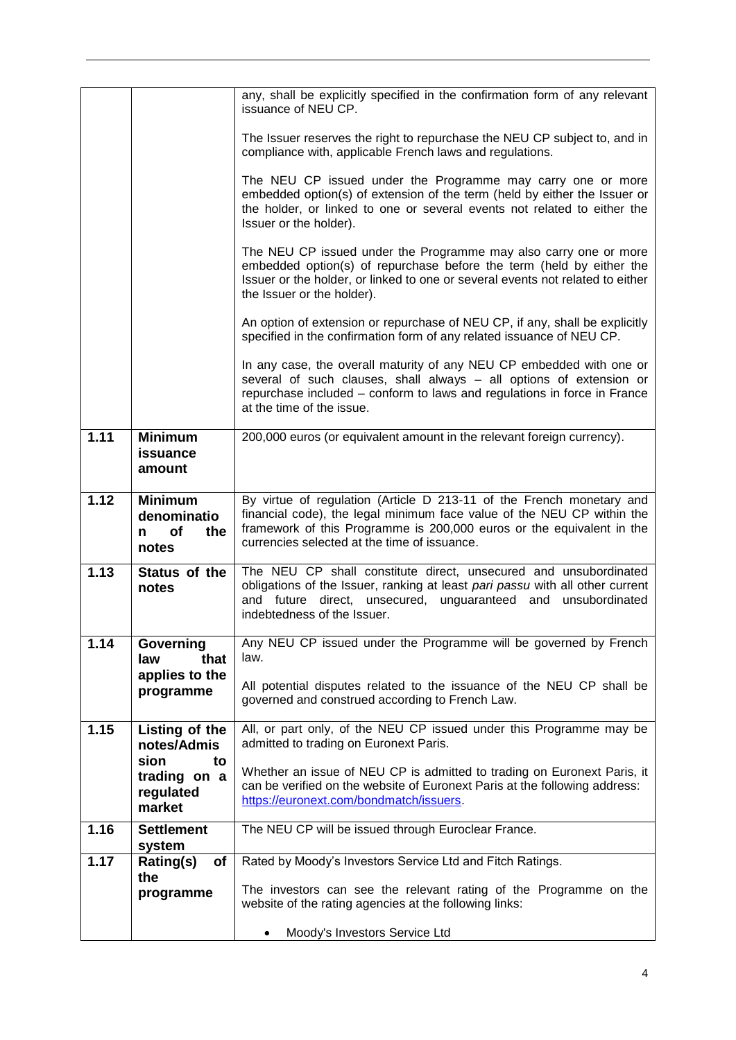|      |                                                           | any, shall be explicitly specified in the confirmation form of any relevant<br>issuance of NEU CP.                                                                                                                                                                      |
|------|-----------------------------------------------------------|-------------------------------------------------------------------------------------------------------------------------------------------------------------------------------------------------------------------------------------------------------------------------|
|      |                                                           | The Issuer reserves the right to repurchase the NEU CP subject to, and in<br>compliance with, applicable French laws and regulations.                                                                                                                                   |
|      |                                                           | The NEU CP issued under the Programme may carry one or more<br>embedded option(s) of extension of the term (held by either the Issuer or<br>the holder, or linked to one or several events not related to either the<br>Issuer or the holder).                          |
|      |                                                           | The NEU CP issued under the Programme may also carry one or more<br>embedded option(s) of repurchase before the term (held by either the<br>Issuer or the holder, or linked to one or several events not related to either<br>the Issuer or the holder).                |
|      |                                                           | An option of extension or repurchase of NEU CP, if any, shall be explicitly<br>specified in the confirmation form of any related issuance of NEU CP.                                                                                                                    |
|      |                                                           | In any case, the overall maturity of any NEU CP embedded with one or<br>several of such clauses, shall always - all options of extension or<br>repurchase included - conform to laws and regulations in force in France<br>at the time of the issue.                    |
| 1.11 | <b>Minimum</b><br>issuance<br>amount                      | 200,000 euros (or equivalent amount in the relevant foreign currency).                                                                                                                                                                                                  |
| 1.12 | <b>Minimum</b><br>denominatio<br>of<br>the<br>n.<br>notes | By virtue of regulation (Article D 213-11 of the French monetary and<br>financial code), the legal minimum face value of the NEU CP within the<br>framework of this Programme is 200,000 euros or the equivalent in the<br>currencies selected at the time of issuance. |
| 1.13 | Status of the<br>notes                                    | The NEU CP shall constitute direct, unsecured and unsubordinated<br>obligations of the Issuer, ranking at least pari passu with all other current<br>and future direct, unsecured, unguaranteed<br>and<br>unsubordinated<br>indebtedness of the Issuer.                 |
| 1.14 | Governing<br>that<br>law                                  | Any NEU CP issued under the Programme will be governed by French<br>law.                                                                                                                                                                                                |
|      | applies to the<br>programme                               | All potential disputes related to the issuance of the NEU CP shall be<br>governed and construed according to French Law.                                                                                                                                                |
| 1.15 | Listing of the<br>notes/Admis                             | All, or part only, of the NEU CP issued under this Programme may be<br>admitted to trading on Euronext Paris.                                                                                                                                                           |
|      | sion<br>to<br>trading on a<br>regulated<br>market         | Whether an issue of NEU CP is admitted to trading on Euronext Paris, it<br>can be verified on the website of Euronext Paris at the following address:<br>https://euronext.com/bondmatch/issuers.                                                                        |
| 1.16 | <b>Settlement</b><br>system                               | The NEU CP will be issued through Euroclear France.                                                                                                                                                                                                                     |
| 1.17 | Rating(s)<br>of                                           | Rated by Moody's Investors Service Ltd and Fitch Ratings.                                                                                                                                                                                                               |
|      | the<br>programme                                          | The investors can see the relevant rating of the Programme on the<br>website of the rating agencies at the following links:                                                                                                                                             |
|      |                                                           | Moody's Investors Service Ltd<br>٠                                                                                                                                                                                                                                      |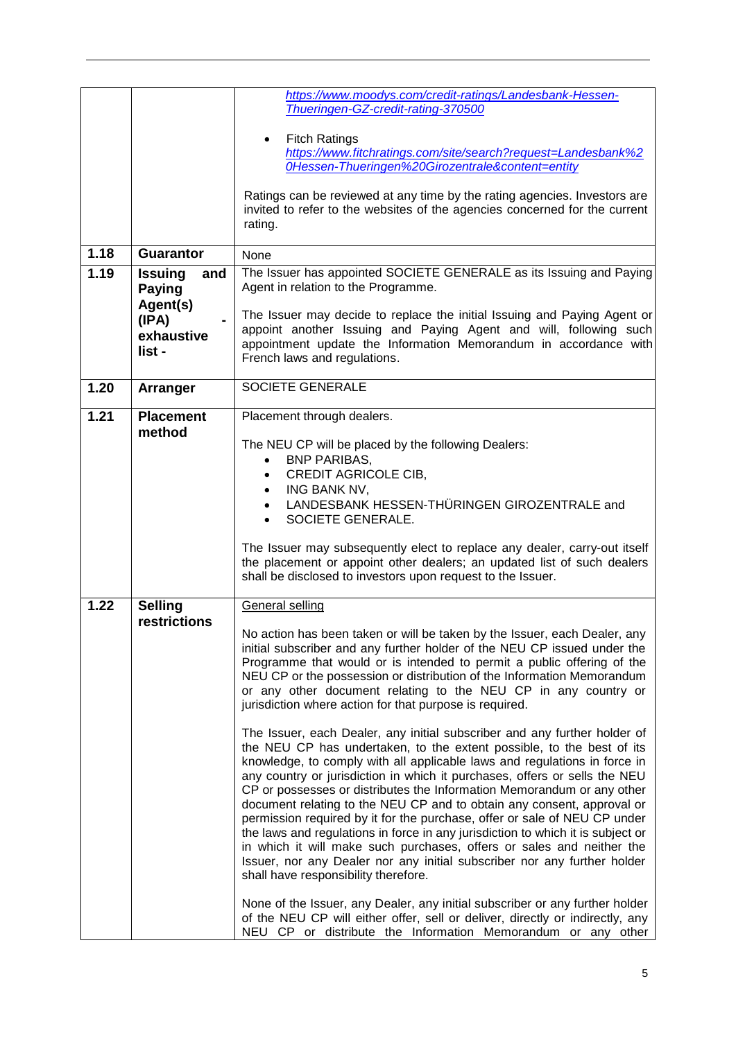|      |                                                                                     | https://www.moodys.com/credit-ratings/Landesbank-Hessen-<br>Thueringen-GZ-credit-rating-370500<br><b>Fitch Ratings</b><br>https://www.fitchratings.com/site/search?request=Landesbank%2<br>OHessen-Thueringen%20Girozentrale&content=entity<br>Ratings can be reviewed at any time by the rating agencies. Investors are<br>invited to refer to the websites of the agencies concerned for the current                                                                                                                                                                                                                                                                                                                                                                                                                                                                                                                                                                                                                                                                                                                                                                                                                                                                                                                                                                                                                                                                                                                              |
|------|-------------------------------------------------------------------------------------|-------------------------------------------------------------------------------------------------------------------------------------------------------------------------------------------------------------------------------------------------------------------------------------------------------------------------------------------------------------------------------------------------------------------------------------------------------------------------------------------------------------------------------------------------------------------------------------------------------------------------------------------------------------------------------------------------------------------------------------------------------------------------------------------------------------------------------------------------------------------------------------------------------------------------------------------------------------------------------------------------------------------------------------------------------------------------------------------------------------------------------------------------------------------------------------------------------------------------------------------------------------------------------------------------------------------------------------------------------------------------------------------------------------------------------------------------------------------------------------------------------------------------------------|
|      |                                                                                     | rating.                                                                                                                                                                                                                                                                                                                                                                                                                                                                                                                                                                                                                                                                                                                                                                                                                                                                                                                                                                                                                                                                                                                                                                                                                                                                                                                                                                                                                                                                                                                             |
| 1.18 | <b>Guarantor</b>                                                                    | None                                                                                                                                                                                                                                                                                                                                                                                                                                                                                                                                                                                                                                                                                                                                                                                                                                                                                                                                                                                                                                                                                                                                                                                                                                                                                                                                                                                                                                                                                                                                |
| 1.19 | <b>Issuing</b><br>and<br><b>Paying</b><br>Agent(s)<br>(IPA)<br>exhaustive<br>list - | The Issuer has appointed SOCIETE GENERALE as its Issuing and Paying<br>Agent in relation to the Programme.<br>The Issuer may decide to replace the initial Issuing and Paying Agent or<br>appoint another Issuing and Paying Agent and will, following such<br>appointment update the Information Memorandum in accordance with<br>French laws and regulations.                                                                                                                                                                                                                                                                                                                                                                                                                                                                                                                                                                                                                                                                                                                                                                                                                                                                                                                                                                                                                                                                                                                                                                     |
| 1.20 | Arranger                                                                            | <b>SOCIETE GENERALE</b>                                                                                                                                                                                                                                                                                                                                                                                                                                                                                                                                                                                                                                                                                                                                                                                                                                                                                                                                                                                                                                                                                                                                                                                                                                                                                                                                                                                                                                                                                                             |
| 1.21 | <b>Placement</b><br>method                                                          | Placement through dealers.<br>The NEU CP will be placed by the following Dealers:<br><b>BNP PARIBAS,</b><br><b>CREDIT AGRICOLE CIB,</b><br>ING BANK NV,<br>LANDESBANK HESSEN-THÜRINGEN GIROZENTRALE and<br>SOCIETE GENERALE.<br>The Issuer may subsequently elect to replace any dealer, carry-out itself<br>the placement or appoint other dealers; an updated list of such dealers<br>shall be disclosed to investors upon request to the Issuer.                                                                                                                                                                                                                                                                                                                                                                                                                                                                                                                                                                                                                                                                                                                                                                                                                                                                                                                                                                                                                                                                                 |
| 1.22 | Selling<br>restrictions                                                             | <b>General selling</b><br>No action has been taken or will be taken by the Issuer, each Dealer, any<br>initial subscriber and any further holder of the NEU CP issued under the<br>Programme that would or is intended to permit a public offering of the<br>NEU CP or the possession or distribution of the Information Memorandum<br>or any other document relating to the NEU CP in any country or<br>jurisdiction where action for that purpose is required.<br>The Issuer, each Dealer, any initial subscriber and any further holder of<br>the NEU CP has undertaken, to the extent possible, to the best of its<br>knowledge, to comply with all applicable laws and regulations in force in<br>any country or jurisdiction in which it purchases, offers or sells the NEU<br>CP or possesses or distributes the Information Memorandum or any other<br>document relating to the NEU CP and to obtain any consent, approval or<br>permission required by it for the purchase, offer or sale of NEU CP under<br>the laws and regulations in force in any jurisdiction to which it is subject or<br>in which it will make such purchases, offers or sales and neither the<br>Issuer, nor any Dealer nor any initial subscriber nor any further holder<br>shall have responsibility therefore.<br>None of the Issuer, any Dealer, any initial subscriber or any further holder<br>of the NEU CP will either offer, sell or deliver, directly or indirectly, any<br>NEU CP or distribute the Information Memorandum or any other |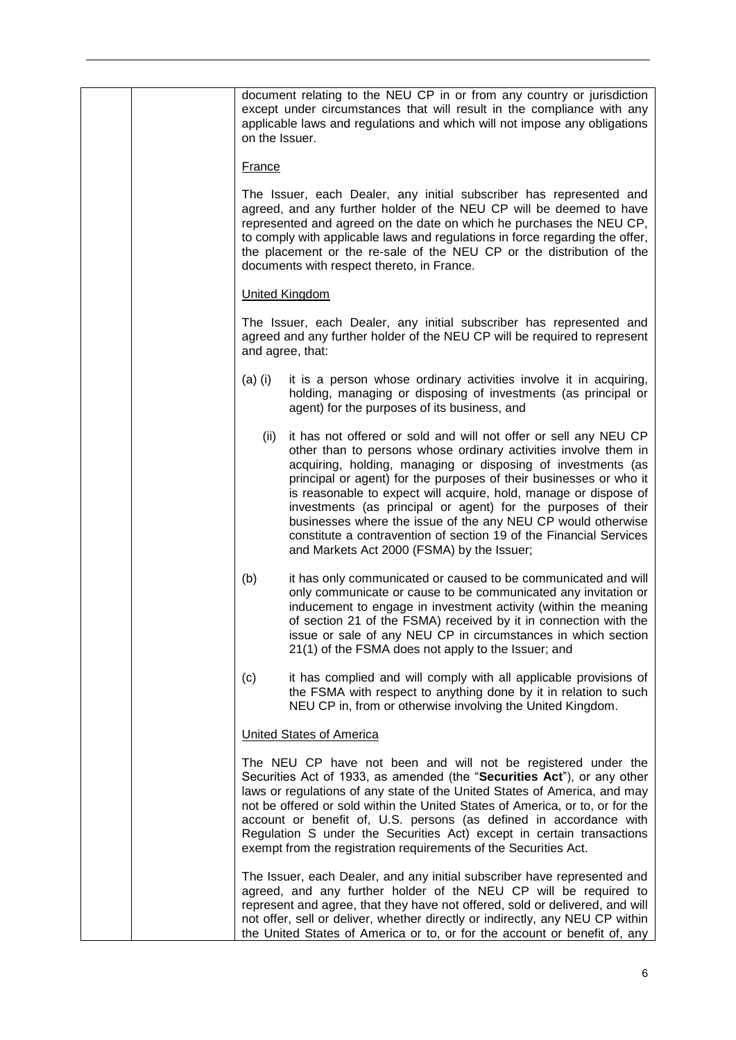| on the Issuer. | document relating to the NEU CP in or from any country or jurisdiction<br>except under circumstances that will result in the compliance with any<br>applicable laws and regulations and which will not impose any obligations                                                                                                                                                                                                                                                                                                                                                                      |
|----------------|----------------------------------------------------------------------------------------------------------------------------------------------------------------------------------------------------------------------------------------------------------------------------------------------------------------------------------------------------------------------------------------------------------------------------------------------------------------------------------------------------------------------------------------------------------------------------------------------------|
| <b>France</b>  |                                                                                                                                                                                                                                                                                                                                                                                                                                                                                                                                                                                                    |
|                | The Issuer, each Dealer, any initial subscriber has represented and<br>agreed, and any further holder of the NEU CP will be deemed to have<br>represented and agreed on the date on which he purchases the NEU CP,<br>to comply with applicable laws and regulations in force regarding the offer,<br>the placement or the re-sale of the NEU CP or the distribution of the<br>documents with respect thereto, in France.                                                                                                                                                                          |
|                | <b>United Kingdom</b>                                                                                                                                                                                                                                                                                                                                                                                                                                                                                                                                                                              |
|                | The Issuer, each Dealer, any initial subscriber has represented and<br>agreed and any further holder of the NEU CP will be required to represent<br>and agree, that:                                                                                                                                                                                                                                                                                                                                                                                                                               |
| $(a)$ (i)      | it is a person whose ordinary activities involve it in acquiring,<br>holding, managing or disposing of investments (as principal or<br>agent) for the purposes of its business, and                                                                                                                                                                                                                                                                                                                                                                                                                |
| (ii)           | it has not offered or sold and will not offer or sell any NEU CP<br>other than to persons whose ordinary activities involve them in<br>acquiring, holding, managing or disposing of investments (as<br>principal or agent) for the purposes of their businesses or who it<br>is reasonable to expect will acquire, hold, manage or dispose of<br>investments (as principal or agent) for the purposes of their<br>businesses where the issue of the any NEU CP would otherwise<br>constitute a contravention of section 19 of the Financial Services<br>and Markets Act 2000 (FSMA) by the Issuer; |
| (b)            | it has only communicated or caused to be communicated and will<br>only communicate or cause to be communicated any invitation or<br>inducement to engage in investment activity (within the meaning<br>of section 21 of the FSMA) received by it in connection with the<br>issue or sale of any NEU CP in circumstances in which section<br>21(1) of the FSMA does not apply to the Issuer; and                                                                                                                                                                                                    |
| (c)            | it has complied and will comply with all applicable provisions of<br>the FSMA with respect to anything done by it in relation to such<br>NEU CP in, from or otherwise involving the United Kingdom.                                                                                                                                                                                                                                                                                                                                                                                                |
|                | <b>United States of America</b>                                                                                                                                                                                                                                                                                                                                                                                                                                                                                                                                                                    |
|                | The NEU CP have not been and will not be registered under the<br>Securities Act of 1933, as amended (the "Securities Act"), or any other<br>laws or regulations of any state of the United States of America, and may<br>not be offered or sold within the United States of America, or to, or for the<br>account or benefit of, U.S. persons (as defined in accordance with<br>Regulation S under the Securities Act) except in certain transactions<br>exempt from the registration requirements of the Securities Act.                                                                          |
|                | The Issuer, each Dealer, and any initial subscriber have represented and<br>agreed, and any further holder of the NEU CP will be required to<br>represent and agree, that they have not offered, sold or delivered, and will<br>not offer, sell or deliver, whether directly or indirectly, any NEU CP within<br>the United States of America or to, or for the account or benefit of, any                                                                                                                                                                                                         |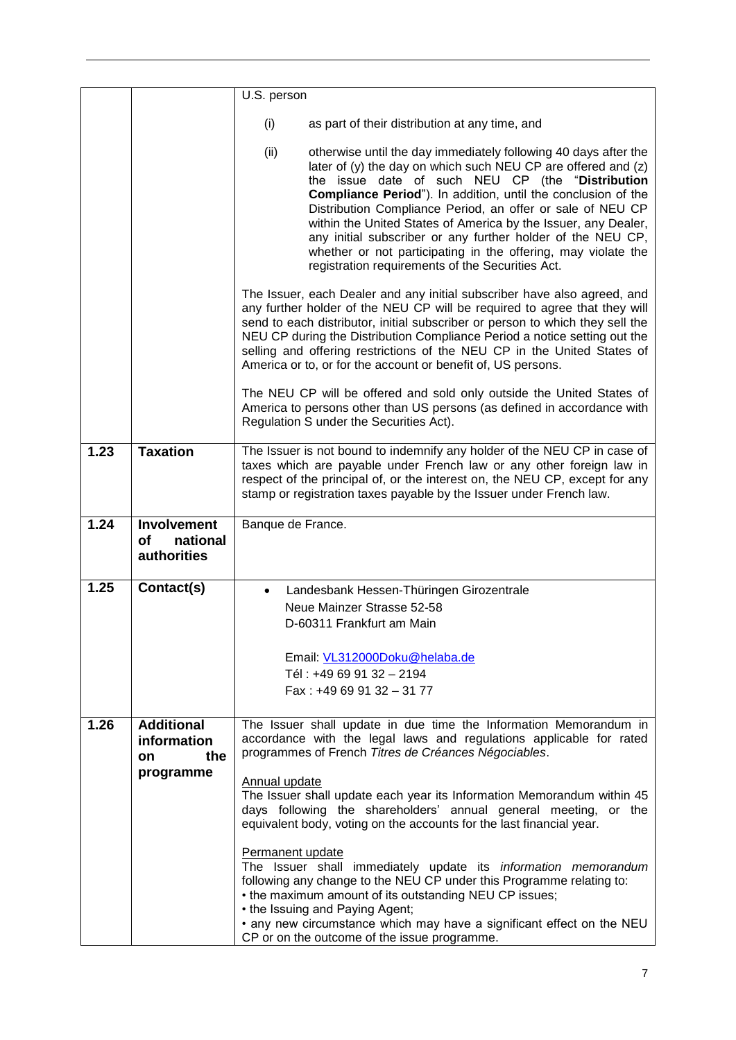|      |                                                            | U.S. person                                                                                                                                                                                                                                                                                                                                                                                                                                                                                                                                                                               |
|------|------------------------------------------------------------|-------------------------------------------------------------------------------------------------------------------------------------------------------------------------------------------------------------------------------------------------------------------------------------------------------------------------------------------------------------------------------------------------------------------------------------------------------------------------------------------------------------------------------------------------------------------------------------------|
|      |                                                            | (i)<br>as part of their distribution at any time, and                                                                                                                                                                                                                                                                                                                                                                                                                                                                                                                                     |
|      |                                                            | (ii)<br>otherwise until the day immediately following 40 days after the<br>later of (y) the day on which such NEU CP are offered and (z)<br>the issue date of such NEU CP (the "Distribution<br><b>Compliance Period</b> "). In addition, until the conclusion of the<br>Distribution Compliance Period, an offer or sale of NEU CP<br>within the United States of America by the Issuer, any Dealer,<br>any initial subscriber or any further holder of the NEU CP,<br>whether or not participating in the offering, may violate the<br>registration requirements of the Securities Act. |
|      |                                                            | The Issuer, each Dealer and any initial subscriber have also agreed, and<br>any further holder of the NEU CP will be required to agree that they will<br>send to each distributor, initial subscriber or person to which they sell the<br>NEU CP during the Distribution Compliance Period a notice setting out the<br>selling and offering restrictions of the NEU CP in the United States of<br>America or to, or for the account or benefit of, US persons.                                                                                                                            |
|      |                                                            | The NEU CP will be offered and sold only outside the United States of<br>America to persons other than US persons (as defined in accordance with<br>Regulation S under the Securities Act).                                                                                                                                                                                                                                                                                                                                                                                               |
| 1.23 | <b>Taxation</b>                                            | The Issuer is not bound to indemnify any holder of the NEU CP in case of<br>taxes which are payable under French law or any other foreign law in<br>respect of the principal of, or the interest on, the NEU CP, except for any<br>stamp or registration taxes payable by the Issuer under French law.                                                                                                                                                                                                                                                                                    |
| 1.24 | <b>Involvement</b><br>of<br>national<br><b>authorities</b> | Banque de France.                                                                                                                                                                                                                                                                                                                                                                                                                                                                                                                                                                         |
| 1.25 | Contact(s)                                                 | Landesbank Hessen-Thüringen Girozentrale<br>$\bullet$                                                                                                                                                                                                                                                                                                                                                                                                                                                                                                                                     |
|      |                                                            | Neue Mainzer Strasse 52-58                                                                                                                                                                                                                                                                                                                                                                                                                                                                                                                                                                |
|      |                                                            | D-60311 Frankfurt am Main                                                                                                                                                                                                                                                                                                                                                                                                                                                                                                                                                                 |
|      |                                                            | Email: VL312000Doku@helaba.de                                                                                                                                                                                                                                                                                                                                                                                                                                                                                                                                                             |
|      |                                                            | Tél: +49 69 91 32 - 2194<br>Fax: +49 69 91 32 - 31 77                                                                                                                                                                                                                                                                                                                                                                                                                                                                                                                                     |
|      |                                                            |                                                                                                                                                                                                                                                                                                                                                                                                                                                                                                                                                                                           |
| 1.26 | <b>Additional</b><br>information<br>the<br>on.             | The Issuer shall update in due time the Information Memorandum in<br>accordance with the legal laws and regulations applicable for rated<br>programmes of French Titres de Créances Négociables.                                                                                                                                                                                                                                                                                                                                                                                          |
|      | programme                                                  | Annual update<br>The Issuer shall update each year its Information Memorandum within 45<br>days following the shareholders' annual general meeting, or the<br>equivalent body, voting on the accounts for the last financial year.                                                                                                                                                                                                                                                                                                                                                        |
|      |                                                            | Permanent update<br>The Issuer shall immediately update its information memorandum<br>following any change to the NEU CP under this Programme relating to:<br>• the maximum amount of its outstanding NEU CP issues;<br>• the Issuing and Paying Agent;                                                                                                                                                                                                                                                                                                                                   |
|      |                                                            | • any new circumstance which may have a significant effect on the NEU<br>CP or on the outcome of the issue programme.                                                                                                                                                                                                                                                                                                                                                                                                                                                                     |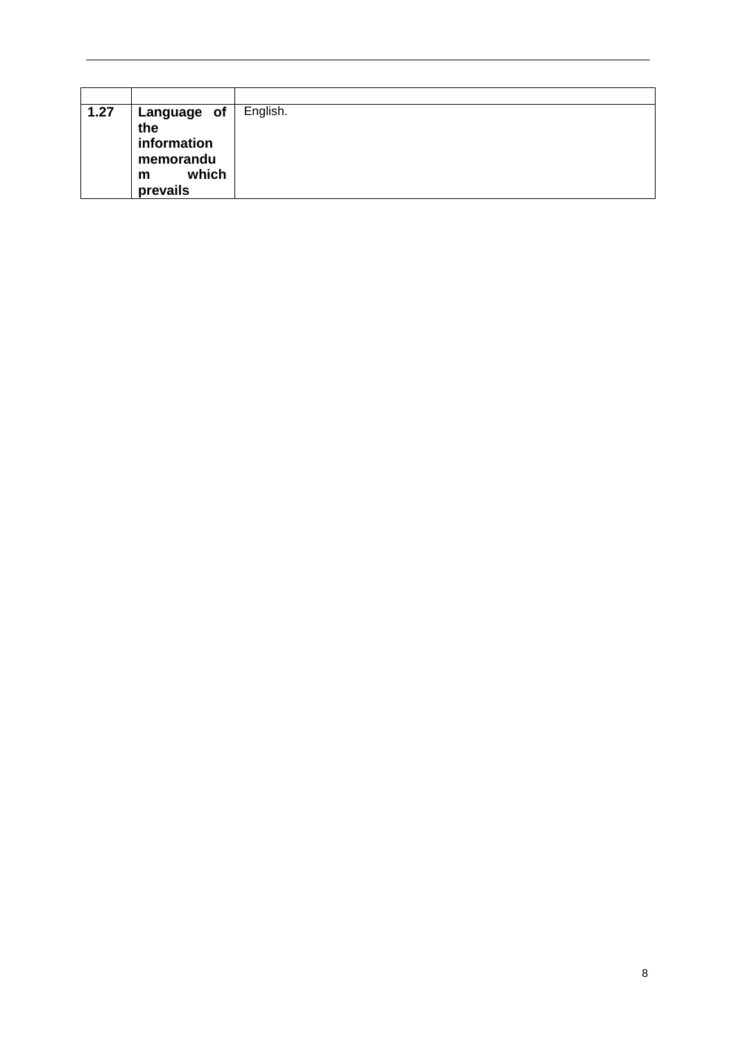| 1.27 | Language of<br>the<br>information<br>memorandu<br>which<br>m<br>prevails | English. |
|------|--------------------------------------------------------------------------|----------|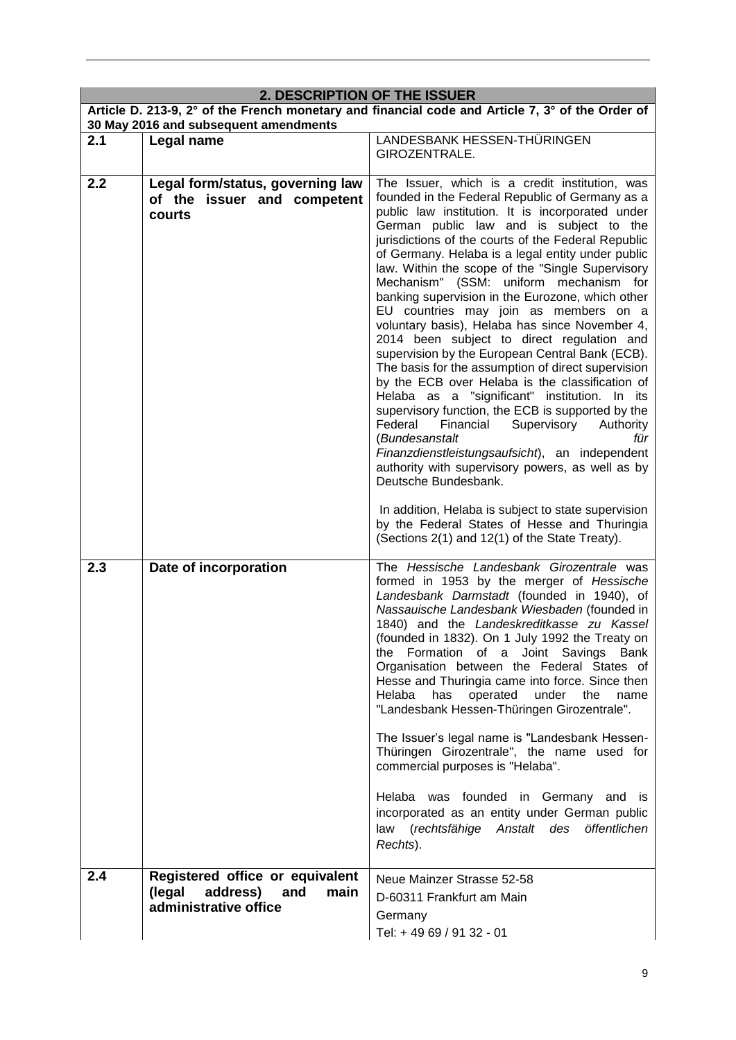|     | 2. DESCRIPTION OF THE ISSUER                                                               | Article D. 213-9, 2° of the French monetary and financial code and Article 7, 3° of the Order of                                                                                                                                                                                                                                                                                                                                                                                                                                                                                                                                                                                                                                                                                                                                                                                                                                                                                                                                                                                                                                                                                                                                           |
|-----|--------------------------------------------------------------------------------------------|--------------------------------------------------------------------------------------------------------------------------------------------------------------------------------------------------------------------------------------------------------------------------------------------------------------------------------------------------------------------------------------------------------------------------------------------------------------------------------------------------------------------------------------------------------------------------------------------------------------------------------------------------------------------------------------------------------------------------------------------------------------------------------------------------------------------------------------------------------------------------------------------------------------------------------------------------------------------------------------------------------------------------------------------------------------------------------------------------------------------------------------------------------------------------------------------------------------------------------------------|
|     | 30 May 2016 and subsequent amendments                                                      |                                                                                                                                                                                                                                                                                                                                                                                                                                                                                                                                                                                                                                                                                                                                                                                                                                                                                                                                                                                                                                                                                                                                                                                                                                            |
| 2.1 | Legal name                                                                                 | LANDESBANK HESSEN-THÜRINGEN<br>GIROZENTRALE.                                                                                                                                                                                                                                                                                                                                                                                                                                                                                                                                                                                                                                                                                                                                                                                                                                                                                                                                                                                                                                                                                                                                                                                               |
| 2.2 | Legal form/status, governing law<br>of the issuer and competent<br>courts                  | The Issuer, which is a credit institution, was<br>founded in the Federal Republic of Germany as a<br>public law institution. It is incorporated under<br>German public law and is subject to the<br>jurisdictions of the courts of the Federal Republic<br>of Germany. Helaba is a legal entity under public<br>law. Within the scope of the "Single Supervisory<br>Mechanism" (SSM: uniform mechanism for<br>banking supervision in the Eurozone, which other<br>EU countries may join as members on a<br>voluntary basis), Helaba has since November 4,<br>2014 been subject to direct regulation and<br>supervision by the European Central Bank (ECB).<br>The basis for the assumption of direct supervision<br>by the ECB over Helaba is the classification of<br>Helaba as a "significant" institution. In its<br>supervisory function, the ECB is supported by the<br>Federal<br>Financial<br>Supervisory Authority<br>(Bundesanstalt<br>für<br>Finanzdienstleistungsaufsicht), an independent<br>authority with supervisory powers, as well as by<br>Deutsche Bundesbank.<br>In addition, Helaba is subject to state supervision<br>by the Federal States of Hesse and Thuringia<br>(Sections 2(1) and 12(1) of the State Treaty). |
| 2.3 | Date of incorporation                                                                      | The Hessische Landesbank Girozentrale was<br>formed in 1953 by the merger of Hessische<br>Landesbank Darmstadt (founded in 1940), of<br>Nassauische Landesbank Wiesbaden (founded in<br>1840) and the Landeskreditkasse zu Kassel<br>(founded in 1832). On 1 July 1992 the Treaty on<br>the Formation of a Joint Savings Bank<br>Organisation between the Federal States of<br>Hesse and Thuringia came into force. Since then<br>under<br>Helaba<br>has<br>operated<br>the<br>name<br>"Landesbank Hessen-Thüringen Girozentrale".<br>The Issuer's legal name is "Landesbank Hessen-<br>Thüringen Girozentrale", the name used for<br>commercial purposes is "Helaba".<br>Helaba was founded in Germany and is<br>incorporated as an entity under German public<br>law (rechtsfähige Anstalt des<br>öffentlichen<br>Rechts).                                                                                                                                                                                                                                                                                                                                                                                                               |
| 2.4 | Registered office or equivalent<br>(legal<br>address) and<br>main<br>administrative office | Neue Mainzer Strasse 52-58<br>D-60311 Frankfurt am Main<br>Germany<br>Tel: +49 69 / 91 32 - 01                                                                                                                                                                                                                                                                                                                                                                                                                                                                                                                                                                                                                                                                                                                                                                                                                                                                                                                                                                                                                                                                                                                                             |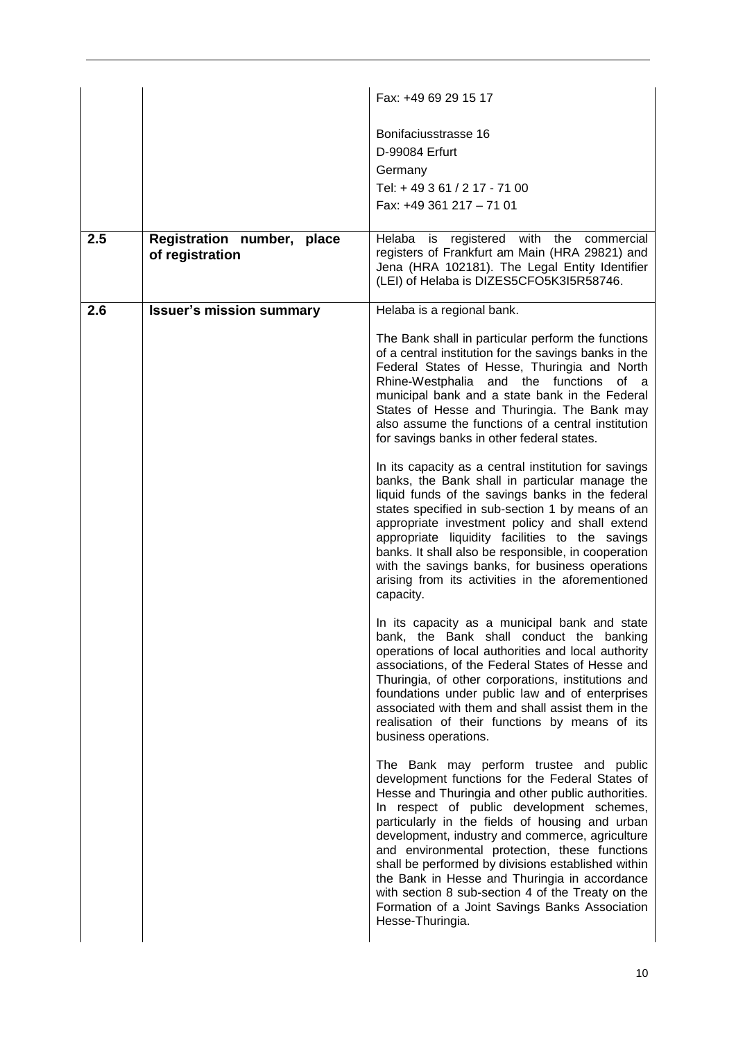|     |                                               | Fax: +49 69 29 15 17                                                                                                                                                                                                                                                                                                                                                                                                                                                                                                                                                                  |
|-----|-----------------------------------------------|---------------------------------------------------------------------------------------------------------------------------------------------------------------------------------------------------------------------------------------------------------------------------------------------------------------------------------------------------------------------------------------------------------------------------------------------------------------------------------------------------------------------------------------------------------------------------------------|
|     |                                               | Bonifaciusstrasse 16<br>D-99084 Erfurt<br>Germany<br>Tel: +49 3 61 / 2 17 - 71 00<br>Fax: +49 361 217 - 71 01                                                                                                                                                                                                                                                                                                                                                                                                                                                                         |
| 2.5 | Registration number, place<br>of registration | Helaba<br>is<br>registered with<br>the<br>commercial<br>registers of Frankfurt am Main (HRA 29821) and<br>Jena (HRA 102181). The Legal Entity Identifier<br>(LEI) of Helaba is DIZES5CFO5K3I5R58746.                                                                                                                                                                                                                                                                                                                                                                                  |
| 2.6 | <b>Issuer's mission summary</b>               | Helaba is a regional bank.                                                                                                                                                                                                                                                                                                                                                                                                                                                                                                                                                            |
|     |                                               | The Bank shall in particular perform the functions<br>of a central institution for the savings banks in the<br>Federal States of Hesse, Thuringia and North<br>Rhine-Westphalia and the functions of a<br>municipal bank and a state bank in the Federal<br>States of Hesse and Thuringia. The Bank may<br>also assume the functions of a central institution<br>for savings banks in other federal states.                                                                                                                                                                           |
|     |                                               | In its capacity as a central institution for savings<br>banks, the Bank shall in particular manage the<br>liquid funds of the savings banks in the federal<br>states specified in sub-section 1 by means of an<br>appropriate investment policy and shall extend<br>appropriate liquidity facilities to the savings<br>banks. It shall also be responsible, in cooperation<br>with the savings banks, for business operations<br>arising from its activities in the aforementioned<br>capacity.                                                                                       |
|     |                                               | In its capacity as a municipal bank and state<br>bank, the Bank shall conduct the banking<br>operations of local authorities and local authority<br>associations, of the Federal States of Hesse and<br>Thuringia, of other corporations, institutions and<br>foundations under public law and of enterprises<br>associated with them and shall assist them in the<br>realisation of their functions by means of its<br>business operations.                                                                                                                                          |
|     |                                               | The Bank may perform trustee and public<br>development functions for the Federal States of<br>Hesse and Thuringia and other public authorities.<br>In respect of public development schemes,<br>particularly in the fields of housing and urban<br>development, industry and commerce, agriculture<br>and environmental protection, these functions<br>shall be performed by divisions established within<br>the Bank in Hesse and Thuringia in accordance<br>with section 8 sub-section 4 of the Treaty on the<br>Formation of a Joint Savings Banks Association<br>Hesse-Thuringia. |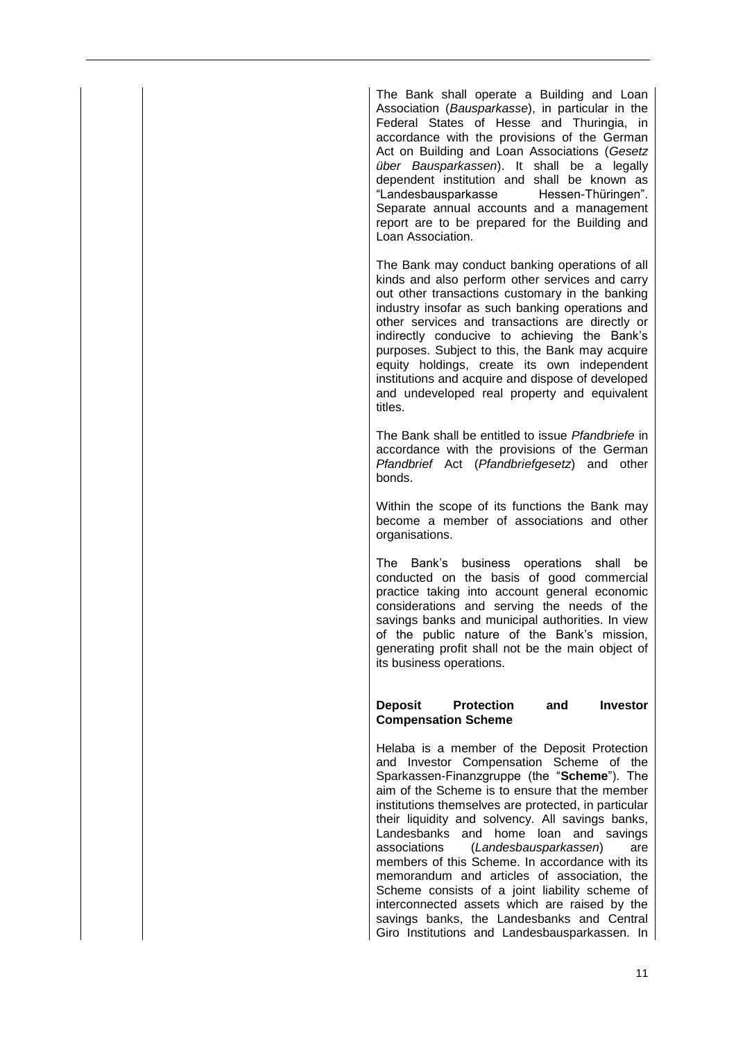The Bank shall operate a Building and Loan Association (*Bausparkasse*), in particular in the Federal States of Hesse and Thuringia, in accordance with the provisions of the German Act on Building and Loan Associations (*Gesetz über Bausparkassen*). It shall be a legally dependent institution and shall be known as "Landesbausparkasse Hessen-Thüringen". Separate annual accounts and a management report are to be prepared for the Building and Loan Association.

The Bank may conduct banking operations of all kinds and also perform other services and carry out other transactions customary in the banking industry insofar as such banking operations and other services and transactions are directly or indirectly conducive to achieving the Bank's purposes. Subject to this, the Bank may acquire equity holdings, create its own independent institutions and acquire and dispose of developed and undeveloped real property and equivalent titles.

The Bank shall be entitled to issue *Pfandbriefe* in accordance with the provisions of the German *Pfandbrief* Act (*Pfandbriefgesetz*) and other bonds.

Within the scope of its functions the Bank may become a member of associations and other organisations.

The Bank's business operations shall be conducted on the basis of good commercial practice taking into account general economic considerations and serving the needs of the savings banks and municipal authorities. In view of the public nature of the Bank's mission, generating profit shall not be the main object of its business operations.

#### **Deposit Protection and Investor Compensation Scheme**

Helaba is a member of the Deposit Protection and Investor Compensation Scheme of the Sparkassen-Finanzgruppe (the "**Scheme**"). The aim of the Scheme is to ensure that the member institutions themselves are protected, in particular their liquidity and solvency. All savings banks, Landesbanks and home loan and savings<br>associations (*Landesbausparkassen*) are associations (*Landesbausparkassen*) are members of this Scheme. In accordance with its memorandum and articles of association, the Scheme consists of a joint liability scheme of interconnected assets which are raised by the savings banks, the Landesbanks and Central Giro Institutions and Landesbausparkassen. In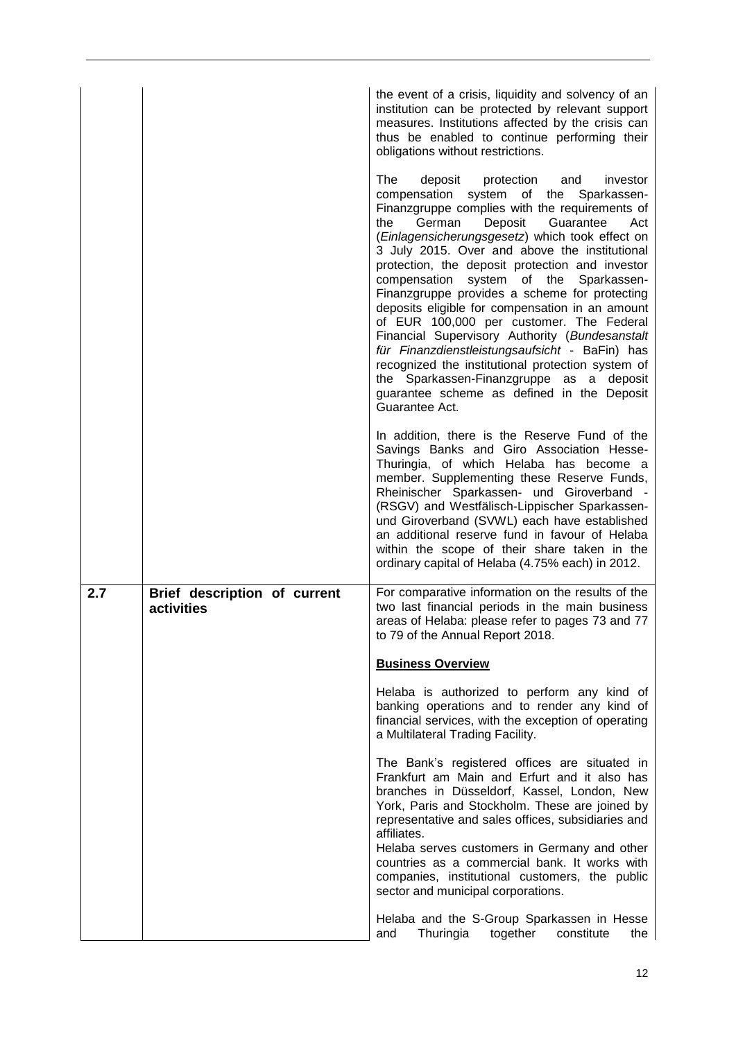|     |                                            | the event of a crisis, liquidity and solvency of an<br>institution can be protected by relevant support<br>measures. Institutions affected by the crisis can<br>thus be enabled to continue performing their<br>obligations without restrictions.                                                                                                                                                                                                                                                                                                                                                                                                                                                                                                                                                                          |
|-----|--------------------------------------------|----------------------------------------------------------------------------------------------------------------------------------------------------------------------------------------------------------------------------------------------------------------------------------------------------------------------------------------------------------------------------------------------------------------------------------------------------------------------------------------------------------------------------------------------------------------------------------------------------------------------------------------------------------------------------------------------------------------------------------------------------------------------------------------------------------------------------|
|     |                                            | The<br>deposit<br>protection<br>and<br>investor<br>compensation<br>system of the<br>Sparkassen-<br>Finanzgruppe complies with the requirements of<br>German<br>Deposit<br>Guarantee<br>Act<br>the<br>(Einlagensicherungsgesetz) which took effect on<br>3 July 2015. Over and above the institutional<br>protection, the deposit protection and investor<br>compensation<br>system of the Sparkassen-<br>Finanzgruppe provides a scheme for protecting<br>deposits eligible for compensation in an amount<br>of EUR 100,000 per customer. The Federal<br>Financial Supervisory Authority (Bundesanstalt<br>für Finanzdienstleistungsaufsicht - BaFin) has<br>recognized the institutional protection system of<br>the Sparkassen-Finanzgruppe as a deposit<br>guarantee scheme as defined in the Deposit<br>Guarantee Act. |
|     |                                            | In addition, there is the Reserve Fund of the<br>Savings Banks and Giro Association Hesse-<br>Thuringia, of which Helaba has become a<br>member. Supplementing these Reserve Funds,<br>Rheinischer Sparkassen- und Giroverband -<br>(RSGV) and Westfälisch-Lippischer Sparkassen-<br>und Giroverband (SVWL) each have established<br>an additional reserve fund in favour of Helaba<br>within the scope of their share taken in the<br>ordinary capital of Helaba (4.75% each) in 2012.                                                                                                                                                                                                                                                                                                                                    |
| 2.7 | Brief description of current<br>activities | For comparative information on the results of the<br>two last financial periods in the main business<br>areas of Helaba: please refer to pages 73 and 77<br>to 79 of the Annual Report 2018.                                                                                                                                                                                                                                                                                                                                                                                                                                                                                                                                                                                                                               |
|     |                                            | <b>Business Overview</b>                                                                                                                                                                                                                                                                                                                                                                                                                                                                                                                                                                                                                                                                                                                                                                                                   |
|     |                                            | Helaba is authorized to perform any kind of<br>banking operations and to render any kind of<br>financial services, with the exception of operating<br>a Multilateral Trading Facility.                                                                                                                                                                                                                                                                                                                                                                                                                                                                                                                                                                                                                                     |
|     |                                            | The Bank's registered offices are situated in<br>Frankfurt am Main and Erfurt and it also has<br>branches in Düsseldorf, Kassel, London, New<br>York, Paris and Stockholm. These are joined by                                                                                                                                                                                                                                                                                                                                                                                                                                                                                                                                                                                                                             |
|     |                                            | representative and sales offices, subsidiaries and<br>affiliates.<br>Helaba serves customers in Germany and other<br>countries as a commercial bank. It works with<br>companies, institutional customers, the public                                                                                                                                                                                                                                                                                                                                                                                                                                                                                                                                                                                                       |
|     |                                            | sector and municipal corporations.<br>Helaba and the S-Group Sparkassen in Hesse                                                                                                                                                                                                                                                                                                                                                                                                                                                                                                                                                                                                                                                                                                                                           |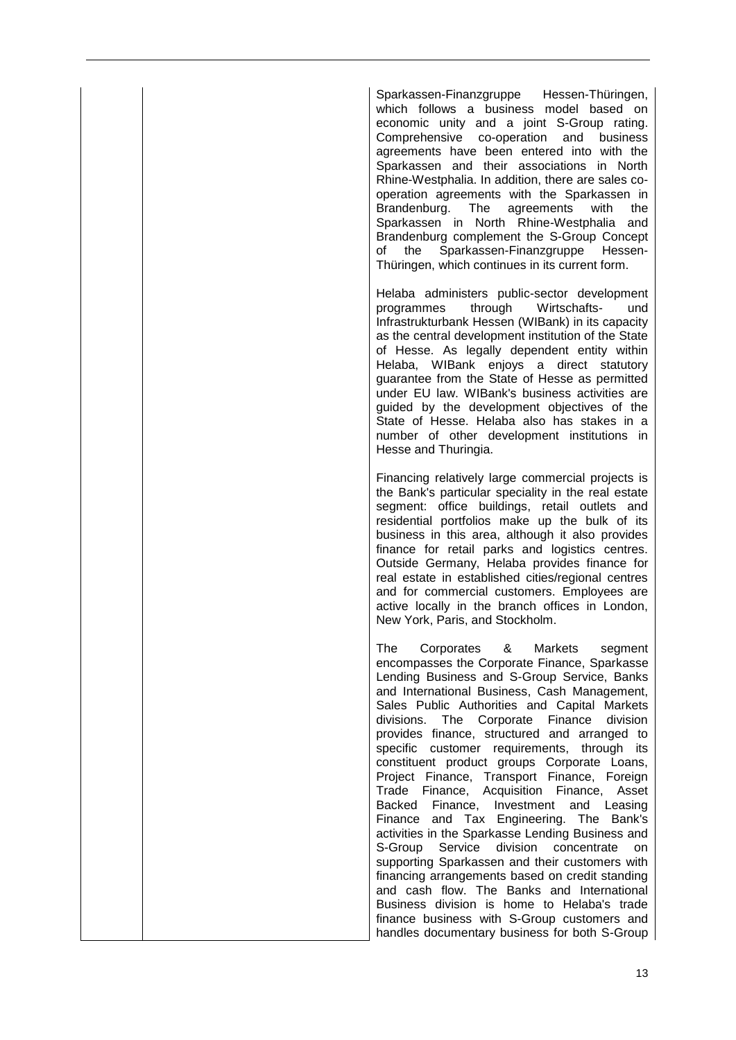Sparkassen-Finanzgruppe Hessen-Thüringen, which follows a business model based on economic unity and a joint S-Group rating. Comprehensive co-operation and business agreements have been entered into with the Sparkassen and their associations in North Rhine-Westphalia. In addition, there are sales cooperation agreements with the Sparkassen in Brandenburg. The agreements with the Sparkassen in North Rhine-Westphalia and Brandenburg complement the S-Group Concept of the Sparkassen-Finanzgruppe Hessen-Thüringen, which continues in its current form.

Helaba administers public-sector development programmes through Wirtschafts- und Infrastrukturbank Hessen (WIBank) in its capacity as the central development institution of the State of Hesse. As legally dependent entity within Helaba, WIBank enjoys a direct statutory guarantee from the State of Hesse as permitted under EU law. WIBank's business activities are guided by the development objectives of the State of Hesse. Helaba also has stakes in a number of other development institutions in Hesse and Thuringia.

Financing relatively large commercial projects is the Bank's particular speciality in the real estate segment: office buildings, retail outlets and residential portfolios make up the bulk of its business in this area, although it also provides finance for retail parks and logistics centres. Outside Germany, Helaba provides finance for real estate in established cities/regional centres and for commercial customers. Employees are active locally in the branch offices in London, New York, Paris, and Stockholm.

The Corporates & Markets segment encompasses the Corporate Finance, Sparkasse Lending Business and S-Group Service, Banks and International Business, Cash Management, Sales Public Authorities and Capital Markets divisions. The Corporate Finance division provides finance, structured and arranged to specific customer requirements, through its constituent product groups Corporate Loans, Project Finance, Transport Finance, Foreign Trade Finance, Acquisition Finance, Asset Backed Finance, Investment and Leasing Finance and Tax Engineering. The Bank's activities in the Sparkasse Lending Business and S-Group Service division concentrate on supporting Sparkassen and their customers with financing arrangements based on credit standing and cash flow. The Banks and International Business division is home to Helaba's trade finance business with S-Group customers and handles documentary business for both S-Group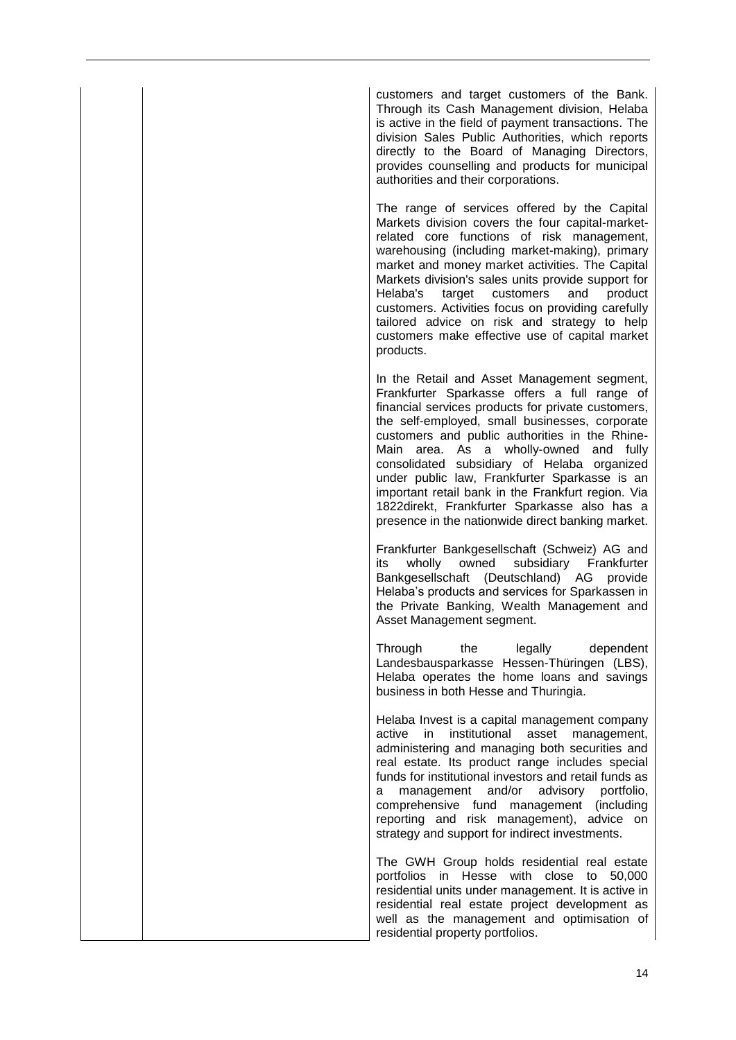customers and target customers of the Bank. Through its Cash Management division, Helaba is active in the field of payment transactions. The division Sales Public Authorities, which reports directly to the Board of Managing Directors, provides counselling and products for municipal authorities and their corporations.

The range of services offered by the Capital Markets division covers the four capital-marketrelated core functions of risk management, warehousing (including market-making), primary market and money market activities. The Capital Markets division's sales units provide support for Helaba's target customers and product customers. Activities focus on providing carefully tailored advice on risk and strategy to help customers make effective use of capital market products.

In the Retail and Asset Management segment, Frankfurter Sparkasse offers a full range of financial services products for private customers, the self-employed, small businesses, corporate customers and public authorities in the Rhine-Main area. As a wholly-owned and fully consolidated subsidiary of Helaba organized under public law, Frankfurter Sparkasse is an important retail bank in the Frankfurt region. Via 1822direkt, Frankfurter Sparkasse also has a presence in the nationwide direct banking market.

Frankfurter Bankgesellschaft (Schweiz) AG and its wholly owned subsidiary Frankfurter Bankgesellschaft (Deutschland) AG provide Helaba's products and services for Sparkassen in the Private Banking, Wealth Management and Asset Management segment.

Through the legally dependent Landesbausparkasse Hessen-Thüringen (LBS), Helaba operates the home loans and savings business in both Hesse and Thuringia.

Helaba Invest is a capital management company active in institutional asset management, administering and managing both securities and real estate. Its product range includes special funds for institutional investors and retail funds as a management and/or advisory portfolio, comprehensive fund management (including reporting and risk management), advice on strategy and support for indirect investments.

The GWH Group holds residential real estate portfolios in Hesse with close to 50,000 residential units under management. It is active in residential real estate project development as well as the management and optimisation of residential property portfolios.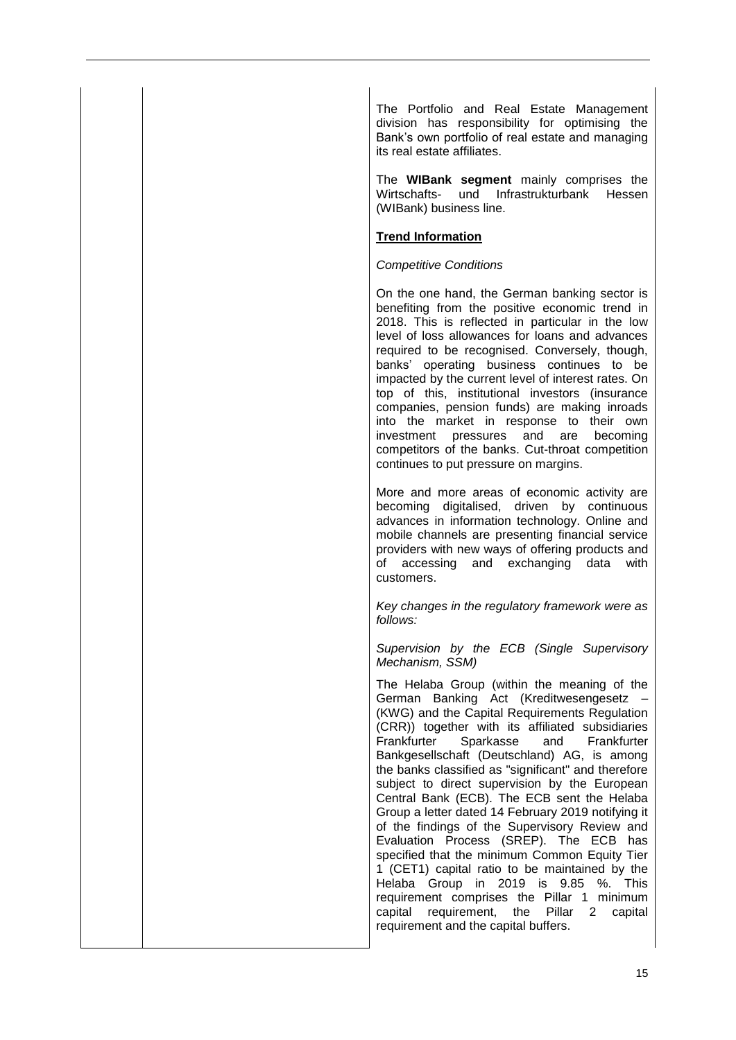The Portfolio and Real Estate Management division has responsibility for optimising the Bank's own portfolio of real estate and managing its real estate affiliates.

The **WIBank segment** mainly comprises the Wirtschafts- und Infrastrukturbank Hessen (WIBank) business line.

## **Trend Information**

#### *Competitive Conditions*

On the one hand, the German banking sector is benefiting from the positive economic trend in 2018. This is reflected in particular in the low level of loss allowances for loans and advances required to be recognised. Conversely, though, banks' operating business continues to be impacted by the current level of interest rates. On top of this, institutional investors (insurance companies, pension funds) are making inroads into the market in response to their own investment pressures and are becoming competitors of the banks. Cut-throat competition continues to put pressure on margins.

More and more areas of economic activity are becoming digitalised, driven by continuous advances in information technology. Online and mobile channels are presenting financial service providers with new ways of offering products and of accessing and exchanging data with customers.

*Key changes in the regulatory framework were as follows:*

*Supervision by the ECB (Single Supervisory Mechanism, SSM)*

The Helaba Group (within the meaning of the German Banking Act (Kreditwesengesetz – (KWG) and the Capital Requirements Regulation (CRR)) together with its affiliated subsidiaries Frankfurter Sparkasse and Frankfurter Bankgesellschaft (Deutschland) AG, is among the banks classified as "significant" and therefore subject to direct supervision by the European Central Bank (ECB). The ECB sent the Helaba Group a letter dated 14 February 2019 notifying it of the findings of the Supervisory Review and Evaluation Process (SREP). The ECB has specified that the minimum Common Equity Tier 1 (CET1) capital ratio to be maintained by the Helaba Group in 2019 is 9.85 %. This requirement comprises the Pillar 1 minimum capital requirement, the Pillar 2 capital requirement and the capital buffers.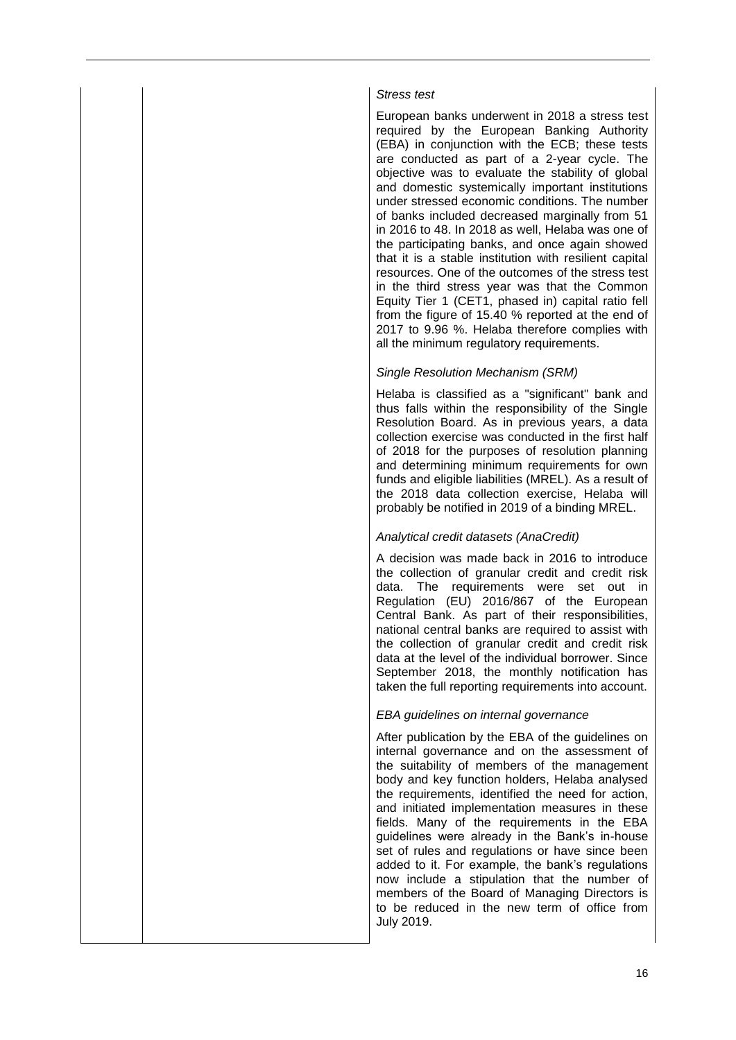#### *Stress test*

European banks underwent in 2018 a stress test required by the European Banking Authority (EBA) in conjunction with the ECB; these tests are conducted as part of a 2-year cycle. The objective was to evaluate the stability of global and domestic systemically important institutions under stressed economic conditions. The number of banks included decreased marginally from 51 in 2016 to 48. In 2018 as well, Helaba was one of the participating banks, and once again showed that it is a stable institution with resilient capital resources. One of the outcomes of the stress test in the third stress year was that the Common Equity Tier 1 (CET1, phased in) capital ratio fell from the figure of 15.40 % reported at the end of 2017 to 9.96 %. Helaba therefore complies with all the minimum regulatory requirements.

## *Single Resolution Mechanism (SRM)*

Helaba is classified as a "significant" bank and thus falls within the responsibility of the Single Resolution Board. As in previous years, a data collection exercise was conducted in the first half of 2018 for the purposes of resolution planning and determining minimum requirements for own funds and eligible liabilities (MREL). As a result of the 2018 data collection exercise, Helaba will probably be notified in 2019 of a binding MREL.

#### *Analytical credit datasets (AnaCredit)*

A decision was made back in 2016 to introduce the collection of granular credit and credit risk data. The requirements were set out in Regulation (EU) 2016/867 of the European Central Bank. As part of their responsibilities, national central banks are required to assist with the collection of granular credit and credit risk data at the level of the individual borrower. Since September 2018, the monthly notification has taken the full reporting requirements into account.

#### *EBA guidelines on internal governance*

After publication by the EBA of the guidelines on internal governance and on the assessment of the suitability of members of the management body and key function holders, Helaba analysed the requirements, identified the need for action, and initiated implementation measures in these fields. Many of the requirements in the EBA guidelines were already in the Bank's in-house set of rules and regulations or have since been added to it. For example, the bank's regulations now include a stipulation that the number of members of the Board of Managing Directors is to be reduced in the new term of office from July 2019.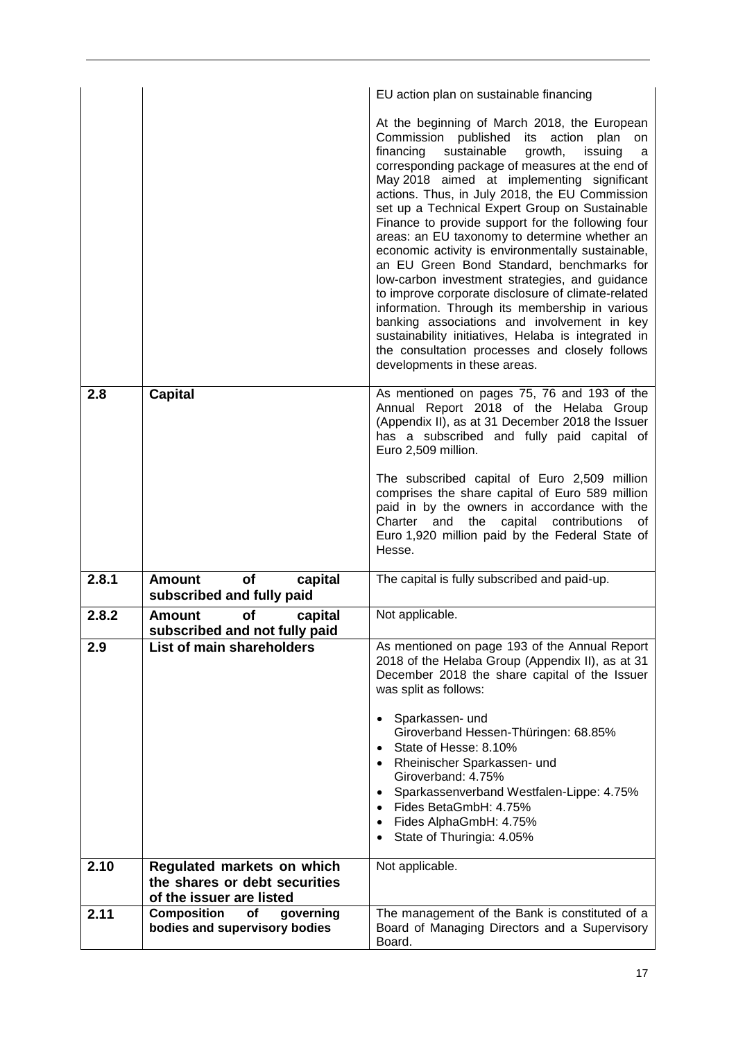|       |                                                                   | EU action plan on sustainable financing                                                                                                                                                                                                                                                                                                                                                                                                                                                                                                                                                                                                                                                                                                                                                                                                                                                                                   |
|-------|-------------------------------------------------------------------|---------------------------------------------------------------------------------------------------------------------------------------------------------------------------------------------------------------------------------------------------------------------------------------------------------------------------------------------------------------------------------------------------------------------------------------------------------------------------------------------------------------------------------------------------------------------------------------------------------------------------------------------------------------------------------------------------------------------------------------------------------------------------------------------------------------------------------------------------------------------------------------------------------------------------|
|       |                                                                   | At the beginning of March 2018, the European<br>Commission published<br>action<br>its<br>plan<br>on<br>financing<br>sustainable<br>growth,<br>issuing<br>a<br>corresponding package of measures at the end of<br>May 2018 aimed at implementing significant<br>actions. Thus, in July 2018, the EU Commission<br>set up a Technical Expert Group on Sustainable<br>Finance to provide support for the following four<br>areas: an EU taxonomy to determine whether an<br>economic activity is environmentally sustainable,<br>an EU Green Bond Standard, benchmarks for<br>low-carbon investment strategies, and guidance<br>to improve corporate disclosure of climate-related<br>information. Through its membership in various<br>banking associations and involvement in key<br>sustainability initiatives, Helaba is integrated in<br>the consultation processes and closely follows<br>developments in these areas. |
| 2.8   | <b>Capital</b>                                                    | As mentioned on pages 75, 76 and 193 of the<br>Annual Report 2018 of the Helaba Group<br>(Appendix II), as at 31 December 2018 the Issuer<br>has a subscribed and fully paid capital of<br>Euro 2,509 million.<br>The subscribed capital of Euro 2,509 million<br>comprises the share capital of Euro 589 million<br>paid in by the owners in accordance with the<br>the<br>capital<br>Charter<br>and<br>contributions<br>of<br>Euro 1,920 million paid by the Federal State of<br>Hesse.                                                                                                                                                                                                                                                                                                                                                                                                                                 |
| 2.8.1 | <b>Amount</b><br>of<br>capital<br>subscribed and fully paid       | The capital is fully subscribed and paid-up.                                                                                                                                                                                                                                                                                                                                                                                                                                                                                                                                                                                                                                                                                                                                                                                                                                                                              |
| 2.8.2 | of<br><b>Amount</b><br>capital<br>subscribed and not fully paid   | Not applicable.                                                                                                                                                                                                                                                                                                                                                                                                                                                                                                                                                                                                                                                                                                                                                                                                                                                                                                           |
| 2.9   | List of main shareholders                                         | As mentioned on page 193 of the Annual Report<br>2018 of the Helaba Group (Appendix II), as at 31<br>December 2018 the share capital of the Issuer<br>was split as follows:<br>Sparkassen- und<br>Giroverband Hessen-Thüringen: 68.85%<br>State of Hesse: 8.10%<br>Rheinischer Sparkassen- und<br>Giroverband: 4.75%<br>Sparkassenverband Westfalen-Lippe: 4.75%<br>Fides BetaGmbH: 4.75%<br>Fides AlphaGmbH: 4.75%<br>State of Thuringia: 4.05%                                                                                                                                                                                                                                                                                                                                                                                                                                                                          |
| 2.10  | Regulated markets on which<br>the shares or debt securities       | Not applicable.                                                                                                                                                                                                                                                                                                                                                                                                                                                                                                                                                                                                                                                                                                                                                                                                                                                                                                           |
| 2.11  | of the issuer are listed<br><b>Composition</b><br>of<br>governing | The management of the Bank is constituted of a                                                                                                                                                                                                                                                                                                                                                                                                                                                                                                                                                                                                                                                                                                                                                                                                                                                                            |
|       | bodies and supervisory bodies                                     | Board of Managing Directors and a Supervisory<br>Board.                                                                                                                                                                                                                                                                                                                                                                                                                                                                                                                                                                                                                                                                                                                                                                                                                                                                   |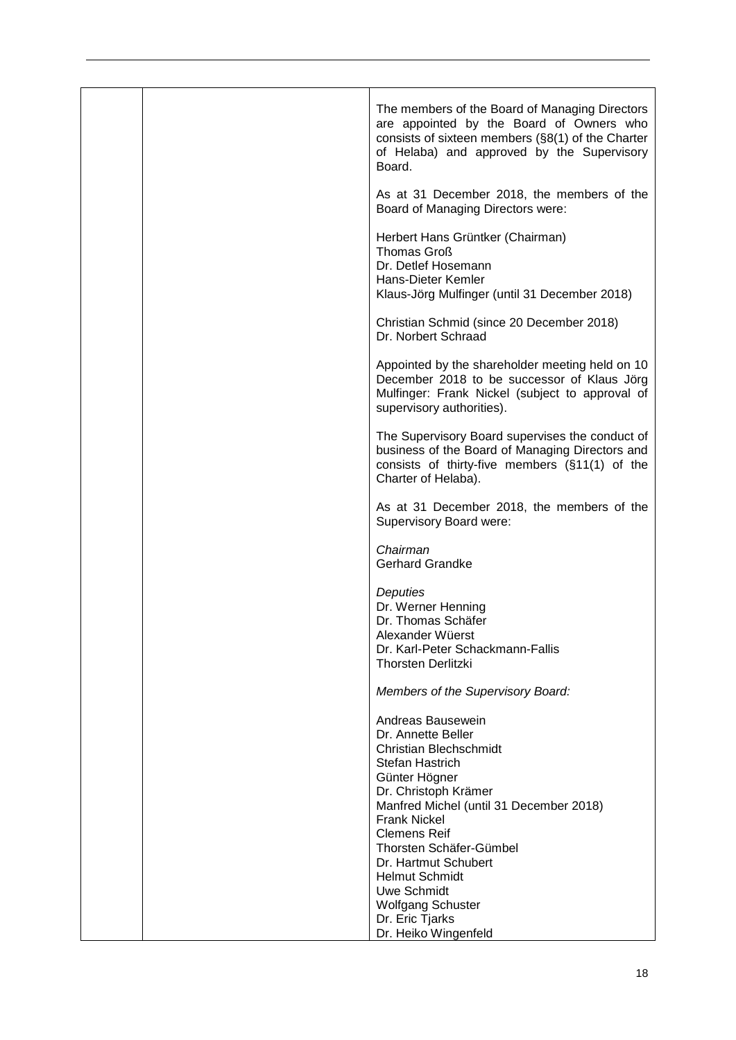| The members of the Board of Managing Directors<br>are appointed by the Board of Owners who<br>consists of sixteen members (§8(1) of the Charter<br>of Helaba) and approved by the Supervisory<br>Board.                                                                                                                                                                 |
|-------------------------------------------------------------------------------------------------------------------------------------------------------------------------------------------------------------------------------------------------------------------------------------------------------------------------------------------------------------------------|
| As at 31 December 2018, the members of the<br>Board of Managing Directors were:                                                                                                                                                                                                                                                                                         |
| Herbert Hans Grüntker (Chairman)<br><b>Thomas Groß</b><br>Dr. Detlef Hosemann<br>Hans-Dieter Kemler<br>Klaus-Jörg Mulfinger (until 31 December 2018)                                                                                                                                                                                                                    |
| Christian Schmid (since 20 December 2018)<br>Dr. Norbert Schraad                                                                                                                                                                                                                                                                                                        |
| Appointed by the shareholder meeting held on 10<br>December 2018 to be successor of Klaus Jörg<br>Mulfinger: Frank Nickel (subject to approval of<br>supervisory authorities).                                                                                                                                                                                          |
| The Supervisory Board supervises the conduct of<br>business of the Board of Managing Directors and<br>consists of thirty-five members (§11(1) of the<br>Charter of Helaba).                                                                                                                                                                                             |
| As at 31 December 2018, the members of the<br>Supervisory Board were:                                                                                                                                                                                                                                                                                                   |
| Chairman<br><b>Gerhard Grandke</b>                                                                                                                                                                                                                                                                                                                                      |
| Deputies<br>Dr. Werner Henning<br>Dr. Thomas Schäfer<br>Alexander Wüerst<br>Dr. Karl-Peter Schackmann-Fallis<br><b>Thorsten Derlitzki</b>                                                                                                                                                                                                                               |
| Members of the Supervisory Board:                                                                                                                                                                                                                                                                                                                                       |
| Andreas Bausewein<br>Dr. Annette Beller<br><b>Christian Blechschmidt</b><br>Stefan Hastrich<br>Günter Högner<br>Dr. Christoph Krämer<br>Manfred Michel (until 31 December 2018)<br><b>Frank Nickel</b><br><b>Clemens Reif</b><br>Thorsten Schäfer-Gümbel<br>Dr. Hartmut Schubert<br><b>Helmut Schmidt</b><br>Uwe Schmidt<br><b>Wolfgang Schuster</b><br>Dr. Eric Tjarks |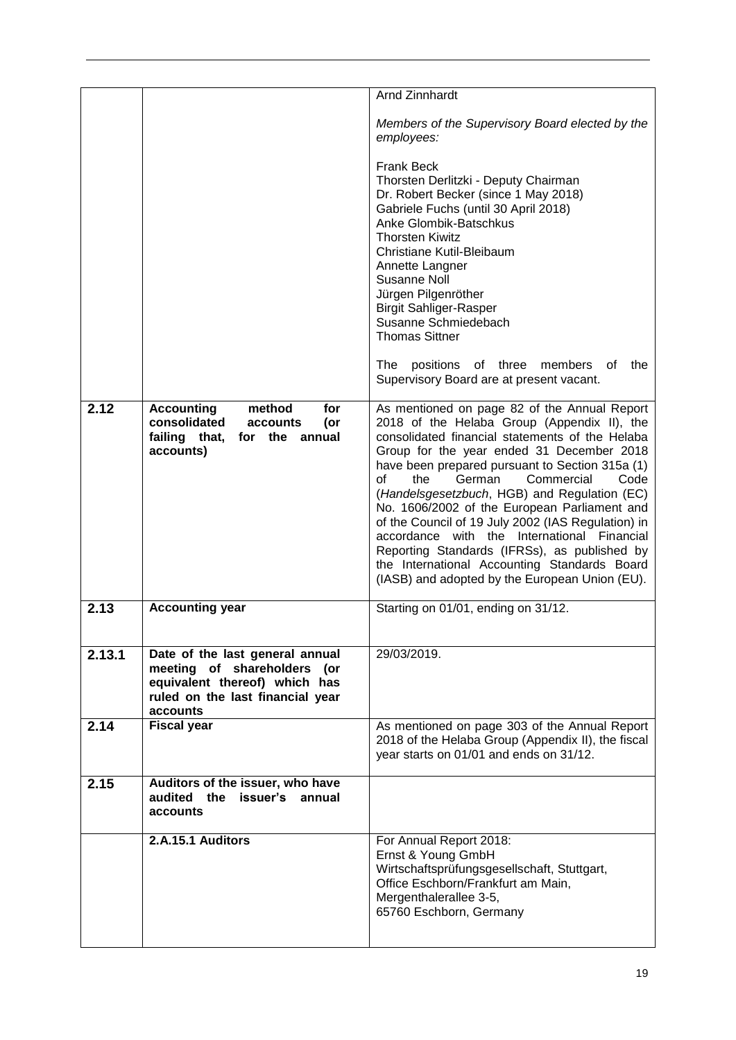|        |                                                                                                                                                    | <b>Arnd Zinnhardt</b>                                                                                                                                                                                                                                                                                                                                                                                                                                                                                                                                                                                                                                    |
|--------|----------------------------------------------------------------------------------------------------------------------------------------------------|----------------------------------------------------------------------------------------------------------------------------------------------------------------------------------------------------------------------------------------------------------------------------------------------------------------------------------------------------------------------------------------------------------------------------------------------------------------------------------------------------------------------------------------------------------------------------------------------------------------------------------------------------------|
|        |                                                                                                                                                    | Members of the Supervisory Board elected by the<br>employees:                                                                                                                                                                                                                                                                                                                                                                                                                                                                                                                                                                                            |
|        |                                                                                                                                                    | <b>Frank Beck</b><br>Thorsten Derlitzki - Deputy Chairman<br>Dr. Robert Becker (since 1 May 2018)<br>Gabriele Fuchs (until 30 April 2018)<br>Anke Glombik-Batschkus<br><b>Thorsten Kiwitz</b><br>Christiane Kutil-Bleibaum<br>Annette Langner<br>Susanne Noll<br>Jürgen Pilgenröther<br><b>Birgit Sahliger-Rasper</b><br>Susanne Schmiedebach<br><b>Thomas Sittner</b><br>The<br>positions<br>of three<br>members<br>οf<br>the                                                                                                                                                                                                                           |
|        |                                                                                                                                                    | Supervisory Board are at present vacant.                                                                                                                                                                                                                                                                                                                                                                                                                                                                                                                                                                                                                 |
| 2.12   | <b>Accounting</b><br>method<br>for<br>consolidated<br>(or<br>accounts<br>failing that,<br>for<br>the<br>annual<br>accounts)                        | As mentioned on page 82 of the Annual Report<br>2018 of the Helaba Group (Appendix II), the<br>consolidated financial statements of the Helaba<br>Group for the year ended 31 December 2018<br>have been prepared pursuant to Section 315a (1)<br>$\Omega$<br>the<br>German<br>Commercial<br>Code<br>(Handelsgesetzbuch, HGB) and Regulation (EC)<br>No. 1606/2002 of the European Parliament and<br>of the Council of 19 July 2002 (IAS Regulation) in<br>accordance with the International Financial<br>Reporting Standards (IFRSs), as published by<br>the International Accounting Standards Board<br>(IASB) and adopted by the European Union (EU). |
| 2.13   | <b>Accounting year</b>                                                                                                                             | Starting on 01/01, ending on 31/12.                                                                                                                                                                                                                                                                                                                                                                                                                                                                                                                                                                                                                      |
| 2.13.1 | Date of the last general annual<br>meeting of shareholders<br>(or<br>equivalent thereof) which has<br>ruled on the last financial year<br>accounts | 29/03/2019.                                                                                                                                                                                                                                                                                                                                                                                                                                                                                                                                                                                                                                              |
| 2.14   | <b>Fiscal year</b>                                                                                                                                 | As mentioned on page 303 of the Annual Report<br>2018 of the Helaba Group (Appendix II), the fiscal<br>year starts on 01/01 and ends on 31/12.                                                                                                                                                                                                                                                                                                                                                                                                                                                                                                           |
| 2.15   | Auditors of the issuer, who have<br>audited the issuer's<br>annual<br>accounts                                                                     |                                                                                                                                                                                                                                                                                                                                                                                                                                                                                                                                                                                                                                                          |
|        | 2.A.15.1 Auditors                                                                                                                                  | For Annual Report 2018:<br>Ernst & Young GmbH<br>Wirtschaftsprüfungsgesellschaft, Stuttgart,<br>Office Eschborn/Frankfurt am Main,<br>Mergenthalerallee 3-5,<br>65760 Eschborn, Germany                                                                                                                                                                                                                                                                                                                                                                                                                                                                  |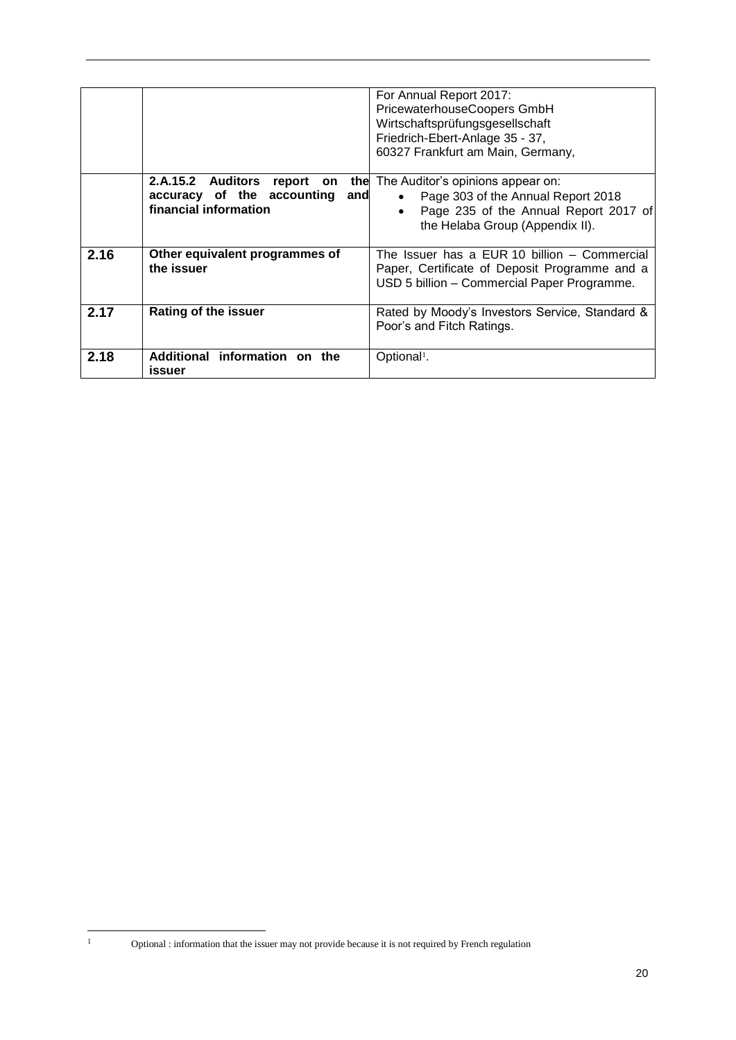|      |                                       | For Annual Report 2017:<br>PricewaterhouseCoopers GmbH<br>Wirtschaftsprüfungsgesellschaft<br>Friedrich-Ebert-Anlage 35 - 37,<br>60327 Frankfurt am Main, Germany, |
|------|---------------------------------------|-------------------------------------------------------------------------------------------------------------------------------------------------------------------|
|      | 2.A.15.2 Auditors<br>report on<br>the | The Auditor's opinions appear on:                                                                                                                                 |
|      | accuracy of the accounting<br>and     | Page 303 of the Annual Report 2018<br>$\bullet$                                                                                                                   |
|      | financial information                 |                                                                                                                                                                   |
|      |                                       | Page 235 of the Annual Report 2017 of<br>$\bullet$                                                                                                                |
|      |                                       | the Helaba Group (Appendix II).                                                                                                                                   |
|      |                                       |                                                                                                                                                                   |
| 2.16 | Other equivalent programmes of        | The Issuer has a EUR 10 billion - Commercial                                                                                                                      |
|      | the issuer                            | Paper, Certificate of Deposit Programme and a                                                                                                                     |
|      |                                       | USD 5 billion - Commercial Paper Programme.                                                                                                                       |
|      |                                       |                                                                                                                                                                   |
| 2.17 | <b>Rating of the issuer</b>           | Rated by Moody's Investors Service, Standard &                                                                                                                    |
|      |                                       | Poor's and Fitch Ratings.                                                                                                                                         |
|      |                                       |                                                                                                                                                                   |
|      |                                       |                                                                                                                                                                   |
| 2.18 | Additional information on the         | Optional <sup>1</sup> .                                                                                                                                           |
|      | issuer                                |                                                                                                                                                                   |

 $\overline{1}$ 

<sup>1</sup> Optional : information that the issuer may not provide because it is not required by French regulation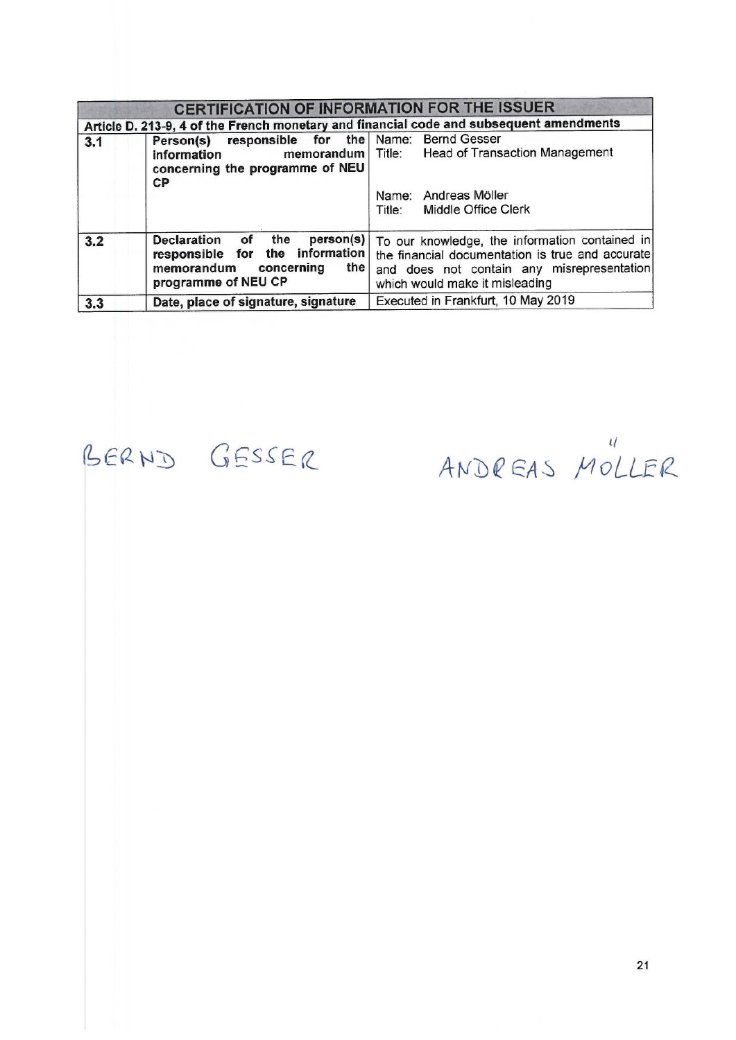| <b>CERTIFICATION OF INFORMATION FOR THE ISSUER</b>                                      |                                                                                                                                                   |                                                                                                                                                                                    |  |  |
|-----------------------------------------------------------------------------------------|---------------------------------------------------------------------------------------------------------------------------------------------------|------------------------------------------------------------------------------------------------------------------------------------------------------------------------------------|--|--|
| Article D. 213-9, 4 of the French monetary and financial code and subsequent amendments |                                                                                                                                                   |                                                                                                                                                                                    |  |  |
| 3.1                                                                                     | responsible for the Name: Bernd Gesser<br>Person(s)<br>memorandum  <br>information<br>concerning the programme of NEU<br><b>CP</b>                | <b>Head of Transaction Management</b><br>Title:                                                                                                                                    |  |  |
|                                                                                         |                                                                                                                                                   | Name: Andreas Möller<br>Middle Office Clerk<br>Title:                                                                                                                              |  |  |
| 3.2                                                                                     | person(s)<br><b>Declaration</b><br>the<br>οf<br>the information<br>for<br>responsible<br>the I<br>memorandum<br>concerning<br>programme of NEU CP | To our knowledge, the information contained in<br>the financial documentation is true and accurate<br>and does not contain any misrepresentation<br>which would make it misleading |  |  |
| 3.3                                                                                     | Date, place of signature, signature                                                                                                               | Executed in Frankfurt, 10 May 2019                                                                                                                                                 |  |  |

BERND GESSER

ANDREAS MOLLER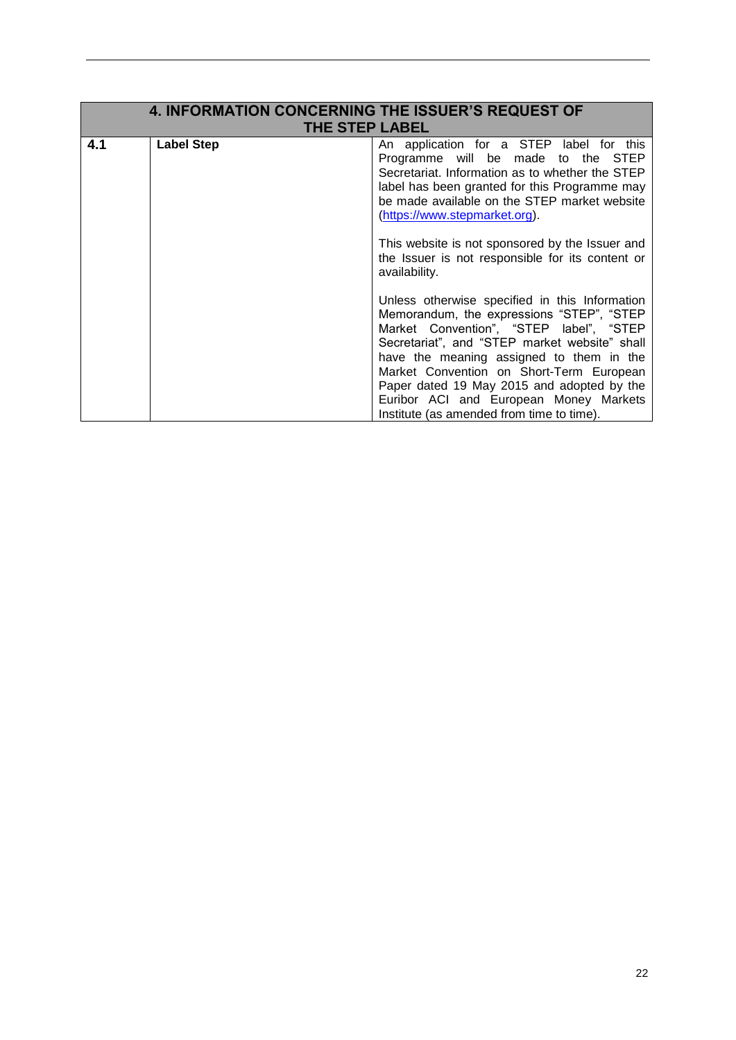| <b>4. INFORMATION CONCERNING THE ISSUER'S REQUEST OF</b><br><b>THE STEP LABEL</b> |                   |                                                                                                                                                                                                                                                                                                                                                                                                                      |
|-----------------------------------------------------------------------------------|-------------------|----------------------------------------------------------------------------------------------------------------------------------------------------------------------------------------------------------------------------------------------------------------------------------------------------------------------------------------------------------------------------------------------------------------------|
| 4.1                                                                               | <b>Label Step</b> | An application for a STEP label for this<br>Programme will be made to the STEP<br>Secretariat. Information as to whether the STEP<br>label has been granted for this Programme may<br>be made available on the STEP market website<br>(https://www.stepmarket.org).                                                                                                                                                  |
|                                                                                   |                   | This website is not sponsored by the Issuer and<br>the Issuer is not responsible for its content or<br>availability.                                                                                                                                                                                                                                                                                                 |
|                                                                                   |                   | Unless otherwise specified in this Information<br>Memorandum, the expressions "STEP", "STEP<br>Market Convention", "STEP label", "STEP<br>Secretariat", and "STEP market website" shall<br>have the meaning assigned to them in the<br>Market Convention on Short-Term European<br>Paper dated 19 May 2015 and adopted by the<br>Euribor ACI and European Money Markets<br>Institute (as amended from time to time). |